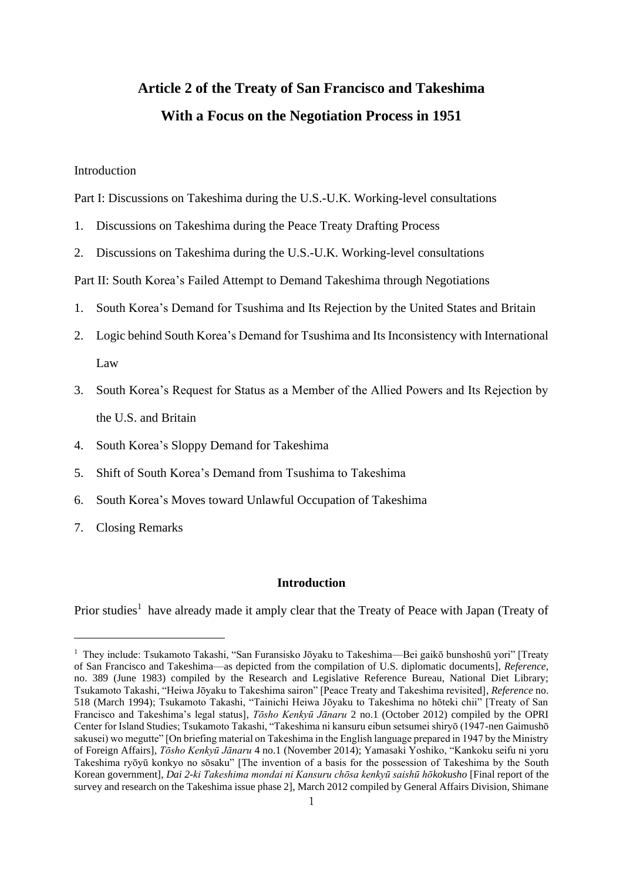# **Article 2 of the Treaty of San Francisco and Takeshima With a Focus on the Negotiation Process in 1951**

### Introduction

Part I: Discussions on Takeshima during the U.S.-U.K. Working-level consultations

- 1. Discussions on Takeshima during the Peace Treaty Drafting Process
- 2. Discussions on Takeshima during the U.S.-U.K. Working-level consultations

Part II: South Korea's Failed Attempt to Demand Takeshima through Negotiations

- 1. South Korea's Demand for Tsushima and Its Rejection by the United States and Britain
- 2. Logic behind South Korea's Demand for Tsushima and Its Inconsistency with International Law
- 3. South Korea's Request for Status as a Member of the Allied Powers and Its Rejection by the U.S. and Britain
- 4. South Korea's Sloppy Demand for Takeshima
- 5. Shift of South Korea's Demand from Tsushima to Takeshima
- 6. South Korea's Moves toward Unlawful Occupation of Takeshima
- 7. Closing Remarks

### **Introduction**

Prior studies<sup>1</sup> have already made it amply clear that the Treaty of Peace with Japan (Treaty of

<sup>&</sup>lt;sup>1</sup> They include: Tsukamoto Takashi, "San Furansisko Jōyaku to Takeshima—Bei gaikō bunshoshū yori" [Treaty of San Francisco and Takeshima—as depicted from the compilation of U.S. diplomatic documents], *Reference*, no. 389 (June 1983) compiled by the Research and Legislative Reference Bureau, National Diet Library; Tsukamoto Takashi, "Heiwa Jōyaku to Takeshima sairon" [Peace Treaty and Takeshima revisited], *Reference* no. 518 (March 1994); Tsukamoto Takashi, "Tainichi Heiwa Jōyaku to Takeshima no hōteki chii" [Treaty of San Francisco and Takeshima's legal status], *Tōsho Kenkyū Jānaru* 2 no.1 (October 2012) compiled by the OPRI Center for Island Studies; Tsukamoto Takashi, "Takeshima ni kansuru eibun setsumei shiryō (1947-nen Gaimushō sakusei) wo megutte" [On briefing material on Takeshima in the English language prepared in 1947 by the Ministry of Foreign Affairs], *Tōsho Kenkyū Jānaru* 4 no.1 (November 2014); Yamasaki Yoshiko, "Kankoku seifu ni yoru Takeshima ryōyū konkyo no sōsaku" [The invention of a basis for the possession of Takeshima by the South Korean government], *Dai 2-ki Takeshima mondai ni Kansuru chōsa kenkyū saishū hōkokusho* [Final report of the survey and research on the Takeshima issue phase 2], March 2012 compiled by General Affairs Division, Shimane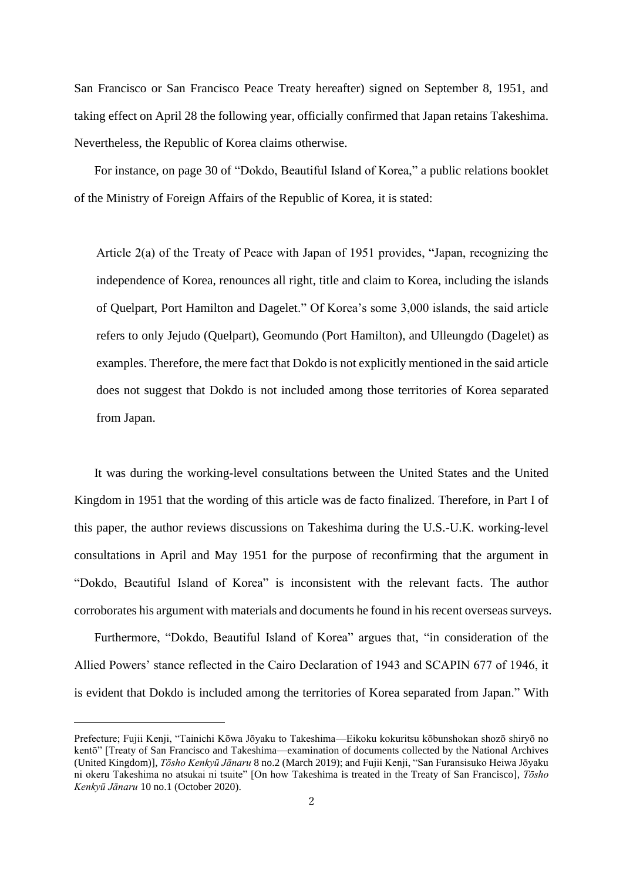San Francisco or San Francisco Peace Treaty hereafter) signed on September 8, 1951, and taking effect on April 28 the following year, officially confirmed that Japan retains Takeshima. Nevertheless, the Republic of Korea claims otherwise.

For instance, on page 30 of "Dokdo, Beautiful Island of Korea," a public relations booklet of the Ministry of Foreign Affairs of the Republic of Korea, it is stated:

Article 2(a) of the Treaty of Peace with Japan of 1951 provides, "Japan, recognizing the independence of Korea, renounces all right, title and claim to Korea, including the islands of Quelpart, Port Hamilton and Dagelet." Of Korea's some 3,000 islands, the said article refers to only Jejudo (Quelpart), Geomundo (Port Hamilton), and Ulleungdo (Dagelet) as examples. Therefore, the mere fact that Dokdo is not explicitly mentioned in the said article does not suggest that Dokdo is not included among those territories of Korea separated from Japan.

It was during the working-level consultations between the United States and the United Kingdom in 1951 that the wording of this article was de facto finalized. Therefore, in Part I of this paper, the author reviews discussions on Takeshima during the U.S.-U.K. working-level consultations in April and May 1951 for the purpose of reconfirming that the argument in "Dokdo, Beautiful Island of Korea" is inconsistent with the relevant facts. The author corroborates his argument with materials and documents he found in his recent overseas surveys.

Furthermore, "Dokdo, Beautiful Island of Korea" argues that, "in consideration of the Allied Powers' stance reflected in the Cairo Declaration of 1943 and SCAPIN 677 of 1946, it is evident that Dokdo is included among the territories of Korea separated from Japan." With

Prefecture; Fujii Kenji, "Tainichi Kōwa Jōyaku to Takeshima—Eikoku kokuritsu kōbunshokan shozō shiryō no kentō" [Treaty of San Francisco and Takeshima—examination of documents collected by the National Archives (United Kingdom)], *Tōsho Kenkyū Jānaru* 8 no.2 (March 2019); and Fujii Kenji, "San Furansisuko Heiwa Jōyaku ni okeru Takeshima no atsukai ni tsuite" [On how Takeshima is treated in the Treaty of San Francisco], *Tōsho Kenkyū Jānaru* 10 no.1 (October 2020).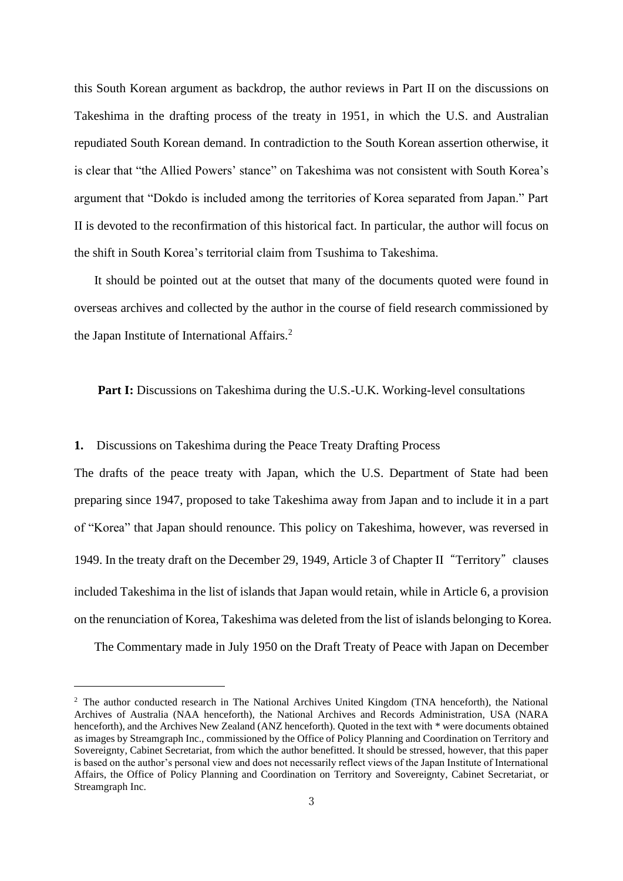this South Korean argument as backdrop, the author reviews in Part II on the discussions on Takeshima in the drafting process of the treaty in 1951, in which the U.S. and Australian repudiated South Korean demand. In contradiction to the South Korean assertion otherwise, it is clear that "the Allied Powers' stance" on Takeshima was not consistent with South Korea's argument that "Dokdo is included among the territories of Korea separated from Japan." Part II is devoted to the reconfirmation of this historical fact. In particular, the author will focus on the shift in South Korea's territorial claim from Tsushima to Takeshima.

It should be pointed out at the outset that many of the documents quoted were found in overseas archives and collected by the author in the course of field research commissioned by the Japan Institute of International Affairs.<sup>2</sup>

### Part I: Discussions on Takeshima during the U.S.-U.K. Working-level consultations

### **1.** Discussions on Takeshima during the Peace Treaty Drafting Process

The drafts of the peace treaty with Japan, which the U.S. Department of State had been preparing since 1947, proposed to take Takeshima away from Japan and to include it in a part of "Korea" that Japan should renounce. This policy on Takeshima, however, was reversed in 1949. In the treaty draft on the December 29, 1949, Article 3 of Chapter II "Territory" clauses included Takeshima in the list of islands that Japan would retain, while in Article 6, a provision on the renunciation of Korea, Takeshima was deleted from the list of islands belonging to Korea.

The Commentary made in July 1950 on the Draft Treaty of Peace with Japan on December

<sup>&</sup>lt;sup>2</sup> The author conducted research in The National Archives United Kingdom (TNA henceforth), the National Archives of Australia (NAA henceforth), the National Archives and Records Administration, USA (NARA henceforth), and the Archives New Zealand (ANZ henceforth). Quoted in the text with  $*$  were documents obtained as images by Streamgraph Inc., commissioned by the Office of Policy Planning and Coordination on Territory and Sovereignty, Cabinet Secretariat, from which the author benefitted. It should be stressed, however, that this paper is based on the author's personal view and does not necessarily reflect views of the Japan Institute of International Affairs, the Office of Policy Planning and Coordination on Territory and Sovereignty, Cabinet Secretariat, or Streamgraph Inc.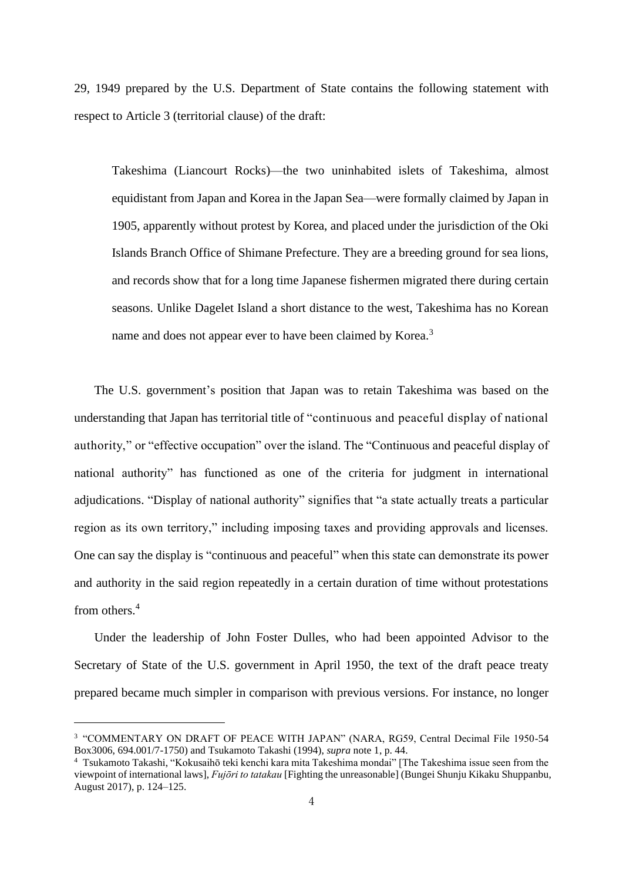29, 1949 prepared by the U.S. Department of State contains the following statement with respect to Article 3 (territorial clause) of the draft:

Takeshima (Liancourt Rocks)—the two uninhabited islets of Takeshima, almost equidistant from Japan and Korea in the Japan Sea—were formally claimed by Japan in 1905, apparently without protest by Korea, and placed under the jurisdiction of the Oki Islands Branch Office of Shimane Prefecture. They are a breeding ground for sea lions, and records show that for a long time Japanese fishermen migrated there during certain seasons. Unlike Dagelet Island a short distance to the west, Takeshima has no Korean name and does not appear ever to have been claimed by Korea.<sup>3</sup>

The U.S. government's position that Japan was to retain Takeshima was based on the understanding that Japan has territorial title of "continuous and peaceful display of national authority," or "effective occupation" over the island. The "Continuous and peaceful display of national authority" has functioned as one of the criteria for judgment in international adjudications. "Display of national authority" signifies that "a state actually treats a particular region as its own territory," including imposing taxes and providing approvals and licenses. One can say the display is "continuous and peaceful" when this state can demonstrate its power and authority in the said region repeatedly in a certain duration of time without protestations from others.<sup>4</sup>

Under the leadership of John Foster Dulles, who had been appointed Advisor to the Secretary of State of the U.S. government in April 1950, the text of the draft peace treaty prepared became much simpler in comparison with previous versions. For instance, no longer

<sup>3</sup> "COMMENTARY ON DRAFT OF PEACE WITH JAPAN" (NARA, RG59, Central Decimal File 1950-54 Box3006, 694.001/7-1750) and Tsukamoto Takashi (1994), *supra* note 1, p. 44.

<sup>4</sup> Tsukamoto Takashi, "Kokusaihō teki kenchi kara mita Takeshima mondai" [The Takeshima issue seen from the viewpoint of international laws], *Fujōri to tatakau* [Fighting the unreasonable] (Bungei Shunju Kikaku Shuppanbu, August 2017), p. 124–125.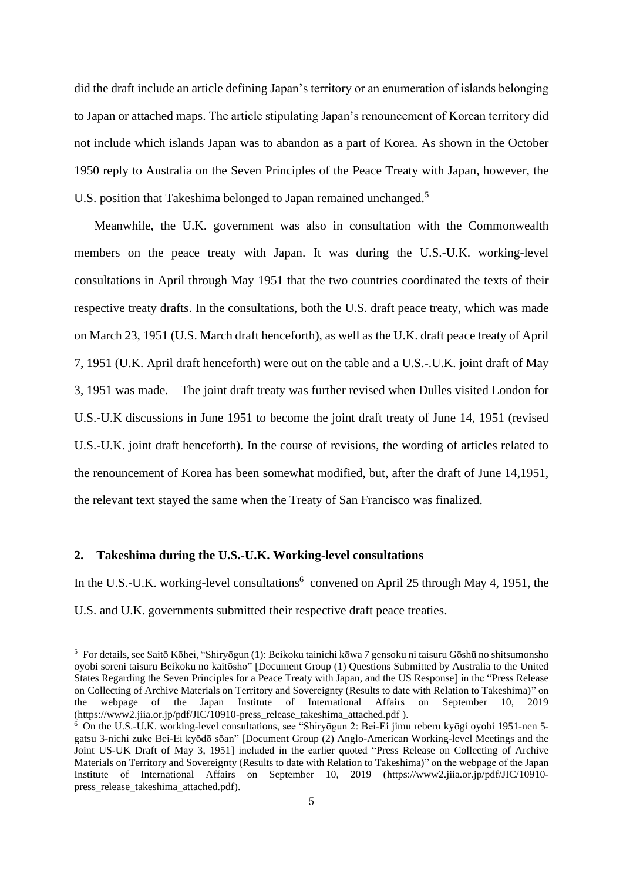did the draft include an article defining Japan's territory or an enumeration of islands belonging to Japan or attached maps. The article stipulating Japan's renouncement of Korean territory did not include which islands Japan was to abandon as a part of Korea. As shown in the October 1950 reply to Australia on the Seven Principles of the Peace Treaty with Japan, however, the U.S. position that Takeshima belonged to Japan remained unchanged.<sup>5</sup>

Meanwhile, the U.K. government was also in consultation with the Commonwealth members on the peace treaty with Japan. It was during the U.S.-U.K. working-level consultations in April through May 1951 that the two countries coordinated the texts of their respective treaty drafts. In the consultations, both the U.S. draft peace treaty, which was made on March 23, 1951 (U.S. March draft henceforth), as well as the U.K. draft peace treaty of April 7, 1951 (U.K. April draft henceforth) were out on the table and a U.S.-.U.K. joint draft of May 3, 1951 was made. The joint draft treaty was further revised when Dulles visited London for U.S.-U.K discussions in June 1951 to become the joint draft treaty of June 14, 1951 (revised U.S.-U.K. joint draft henceforth). In the course of revisions, the wording of articles related to the renouncement of Korea has been somewhat modified, but, after the draft of June 14,1951, the relevant text stayed the same when the Treaty of San Francisco was finalized.

## **2. Takeshima during the U.S.-U.K. Working-level consultations**

In the U.S.-U.K. working-level consultations<sup>6</sup> convened on April 25 through May 4, 1951, the U.S. and U.K. governments submitted their respective draft peace treaties.

<sup>5</sup> For details, see Saitō Kōhei, "Shiryōgun (1): Beikoku tainichi kōwa 7 gensoku ni taisuru Gōshū no shitsumonsho oyobi soreni taisuru Beikoku no kaitōsho" [Document Group (1) Questions Submitted by Australia to the United States Regarding the Seven Principles for a Peace Treaty with Japan, and the US Response] in the "Press Release on Collecting of Archive Materials on Territory and Sovereignty (Results to date with Relation to Takeshima)" on the webpage of the Japan Institute of International Affairs on September 10, 2019 (https://www2.jiia.or.jp/pdf/JIC/10910-press\_release\_takeshima\_attached.pdf ).

<sup>6</sup> On the U.S.-U.K. working-level consultations, see "Shiryōgun 2: Bei-Ei jimu reberu kyōgi oyobi 1951-nen 5 gatsu 3-nichi zuke Bei-Ei kyōdō sōan" [Document Group (2) Anglo-American Working-level Meetings and the Joint US-UK Draft of May 3, 1951] included in the earlier quoted "Press Release on Collecting of Archive Materials on Territory and Sovereignty (Results to date with Relation to Takeshima)" on the webpage of the Japan Institute of International Affairs on September 10, 2019 (https://www2.jiia.or.jp/pdf/JIC/10910 press\_release\_takeshima\_attached.pdf).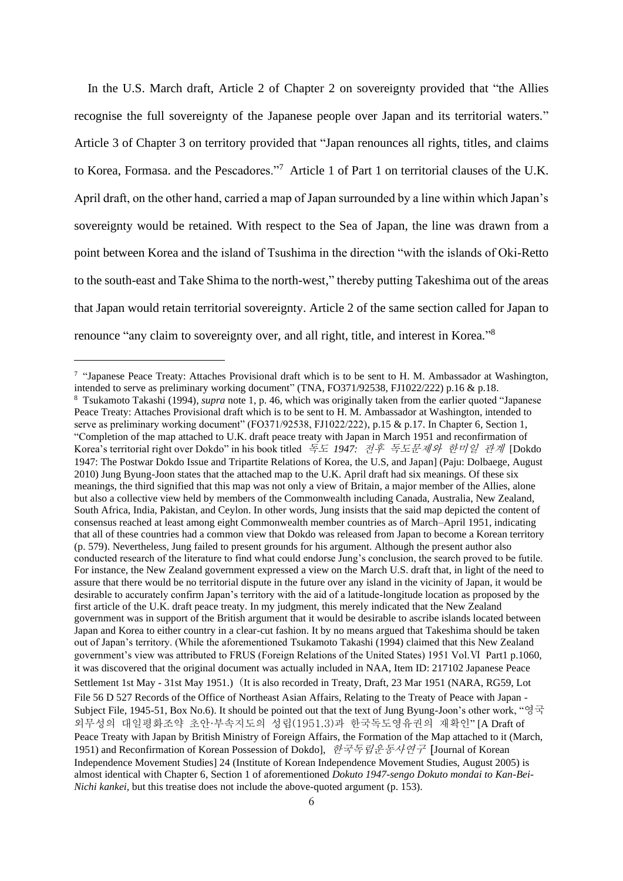In the U.S. March draft, Article 2 of Chapter 2 on sovereignty provided that "the Allies recognise the full sovereignty of the Japanese people over Japan and its territorial waters." Article 3 of Chapter 3 on territory provided that "Japan renounces all rights, titles, and claims to Korea, Formasa. and the Pescadores."<sup>7</sup> Article 1 of Part 1 on territorial clauses of the U.K. April draft, on the other hand, carried a map of Japan surrounded by a line within which Japan's sovereignty would be retained. With respect to the Sea of Japan, the line was drawn from a point between Korea and the island of Tsushima in the direction "with the islands of Oki-Retto to the south-east and Take Shima to the north-west," thereby putting Takeshima out of the areas that Japan would retain territorial sovereignty. Article 2 of the same section called for Japan to renounce "any claim to sovereignty over, and all right, title, and interest in Korea."<sup>8</sup>

<sup>&</sup>lt;sup>7</sup> "Japanese Peace Treaty: Attaches Provisional draft which is to be sent to H. M. Ambassador at Washington, intended to serve as preliminary working document" (TNA, FO371/92538, FJ1022/222) p.16 & p.18. <sup>8</sup> Tsukamoto Takashi (1994), *supra* note 1, p. 46, which was originally taken from the earlier quoted "Japanese Peace Treaty: Attaches Provisional draft which is to be sent to H. M. Ambassador at Washington, intended to serve as preliminary working document" (FO371/92538, FJ1022/222), p.15 & p.17. In Chapter 6, Section 1, "Completion of the map attached to U.K. draft peace treaty with Japan in March 1951 and reconfirmation of Korea's territorial right over Dokdo" in his book titled 독도 *1947:* 전후 독도문제와 한미일 관계 [Dokdo 1947: The Postwar Dokdo Issue and Tripartite Relations of Korea, the U.S, and Japan] (Paju: Dolbaege, August 2010) Jung Byung-Joon states that the attached map to the U.K. April draft had six meanings. Of these six meanings, the third signified that this map was not only a view of Britain, a major member of the Allies, alone but also a collective view held by members of the Commonwealth including Canada, Australia, New Zealand, South Africa, India, Pakistan, and Ceylon. In other words, Jung insists that the said map depicted the content of consensus reached at least among eight Commonwealth member countries as of March–April 1951, indicating that all of these countries had a common view that Dokdo was released from Japan to become a Korean territory (p. 579). Nevertheless, Jung failed to present grounds for his argument. Although the present author also conducted research of the literature to find what could endorse Jung's conclusion, the search proved to be futile. For instance, the New Zealand government expressed a view on the March U.S. draft that, in light of the need to assure that there would be no territorial dispute in the future over any island in the vicinity of Japan, it would be desirable to accurately confirm Japan's territory with the aid of a latitude-longitude location as proposed by the first article of the U.K. draft peace treaty. In my judgment, this merely indicated that the New Zealand government was in support of the British argument that it would be desirable to ascribe islands located between Japan and Korea to either country in a clear-cut fashion. It by no means argued that Takeshima should be taken out of Japan's territory. (While the aforementioned Tsukamoto Takashi (1994) claimed that this New Zealand government's view was attributed to FRUS (Foreign Relations of the United States) 1951 Vol.Ⅵ Part1 p.1060, it was discovered that the original document was actually included in NAA, Item ID: 217102 Japanese Peace Settlement 1st May - 31st May 1951.) (It is also recorded in Treaty, Draft, 23 Mar 1951 (NARA, RG59, Lot File 56 D 527 Records of the Office of Northeast Asian Affairs, Relating to the Treaty of Peace with Japan - Subject File, 1945-51, Box No.6). It should be pointed out that the text of Jung Byung-Joon's other work, "영국 외무성의 대일평화조약 초안·부속지도의 성립(1951.3)과 한국독도영유권의 재확인" [A Draft of Peace Treaty with Japan by British Ministry of Foreign Affairs, the Formation of the Map attached to it (March, 1951) and Reconfirmation of Korean Possession of Dokdo], 한국독립운동사연구 [Journal of Korean Independence Movement Studies] 24 (Institute of Korean Independence Movement Studies, August 2005) is almost identical with Chapter 6, Section 1 of aforementioned *Dokuto 1947-sengo Dokuto mondai to Kan-Bei-Nichi kankei*, but this treatise does not include the above-quoted argument (p. 153).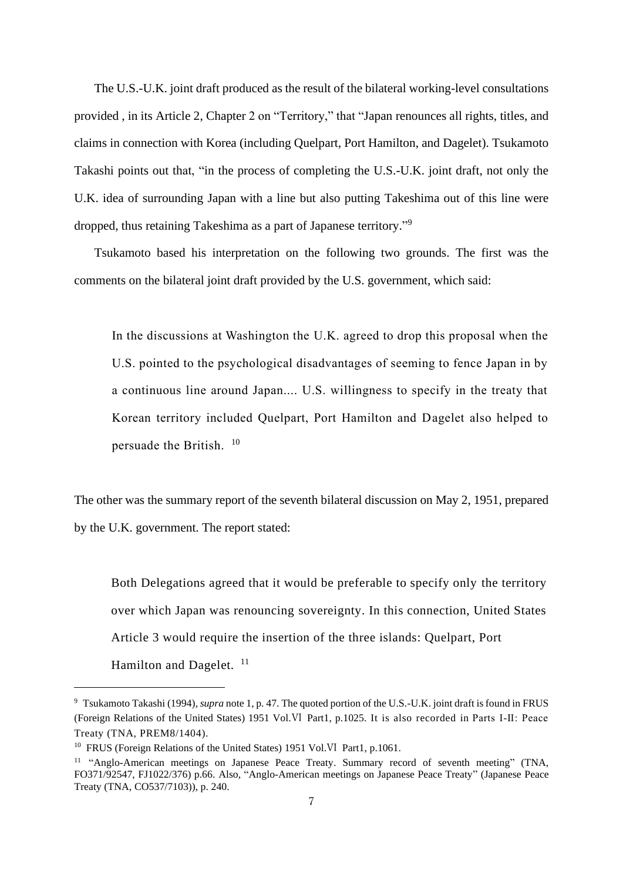The U.S.-U.K. joint draft produced as the result of the bilateral working-level consultations provided , in its Article 2, Chapter 2 on "Territory," that "Japan renounces all rights, titles, and claims in connection with Korea (including Quelpart, Port Hamilton, and Dagelet). Tsukamoto Takashi points out that, "in the process of completing the U.S.-U.K. joint draft, not only the U.K. idea of surrounding Japan with a line but also putting Takeshima out of this line were dropped, thus retaining Takeshima as a part of Japanese territory."<sup>9</sup>

Tsukamoto based his interpretation on the following two grounds. The first was the comments on the bilateral joint draft provided by the U.S. government, which said:

In the discussions at Washington the U.K. agreed to drop this proposal when the U.S. pointed to the psychological disadvantages of seeming to fence Japan in by a continuous line around Japan.... U.S. willingness to specify in the treaty that Korean territory included Quelpart, Port Hamilton and Dagelet also helped to persuade the British.  $10$ 

The other was the summary report of the seventh bilateral discussion on May 2, 1951, prepared by the U.K. government. The report stated:

Both Delegations agreed that it would be preferable to specify only the territory over which Japan was renouncing sovereignty. In this connection, United States Article 3 would require the insertion of the three islands: Quelpart, Port Hamilton and Dagelet.  $11$ 

<sup>9</sup> Tsukamoto Takashi (1994), *supra* note 1, p. 47. The quoted portion of the U.S.-U.K. joint draft is found in FRUS (Foreign Relations of the United States) 1951 Vol.Ⅵ Part1, p.1025. It is also recorded in Parts Ⅰ-Ⅱ: Peace Treaty (TNA, PREM8/1404).

<sup>&</sup>lt;sup>10</sup> FRUS (Foreign Relations of the United States) 1951 Vol.VI Part1, p.1061.

<sup>&</sup>lt;sup>11</sup> "Anglo-American meetings on Japanese Peace Treaty. Summary record of seventh meeting" (TNA, FO371/92547, FJ1022/376) p.66. Also, "Anglo-American meetings on Japanese Peace Treaty" (Japanese Peace Treaty (TNA, CO537/7103)), p. 240.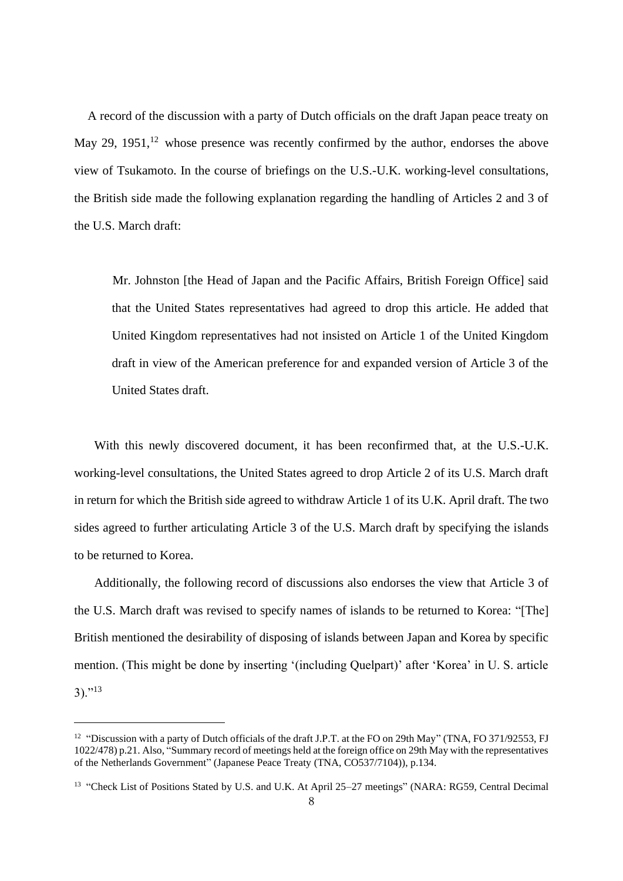A record of the discussion with a party of Dutch officials on the draft Japan peace treaty on May 29, 1951,  $12$  whose presence was recently confirmed by the author, endorses the above view of Tsukamoto. In the course of briefings on the U.S.-U.K. working-level consultations, the British side made the following explanation regarding the handling of Articles 2 and 3 of the U.S. March draft:

Mr. Johnston [the Head of Japan and the Pacific Affairs, British Foreign Office] said that the United States representatives had agreed to drop this article. He added that United Kingdom representatives had not insisted on Article 1 of the United Kingdom draft in view of the American preference for and expanded version of Article 3 of the United States draft.

With this newly discovered document, it has been reconfirmed that, at the U.S.-U.K. working-level consultations, the United States agreed to drop Article 2 of its U.S. March draft in return for which the British side agreed to withdraw Article 1 of its U.K. April draft. The two sides agreed to further articulating Article 3 of the U.S. March draft by specifying the islands to be returned to Korea.

Additionally, the following record of discussions also endorses the view that Article 3 of the U.S. March draft was revised to specify names of islands to be returned to Korea: "[The] British mentioned the desirability of disposing of islands between Japan and Korea by specific mention. (This might be done by inserting '(including Quelpart)' after 'Korea' in U. S. article  $3)$ ."<sup>13</sup>

<sup>&</sup>lt;sup>12</sup> "Discussion with a party of Dutch officials of the draft J.P.T. at the FO on 29th May" (TNA, FO 371/92553, FJ 1022/478) p.21. Also, "Summary record of meetings held at the foreign office on 29th May with the representatives of the Netherlands Government" (Japanese Peace Treaty (TNA, CO537/7104)), p.134.

<sup>&</sup>lt;sup>13</sup> "Check List of Positions Stated by U.S. and U.K. At April 25–27 meetings" (NARA: RG59, Central Decimal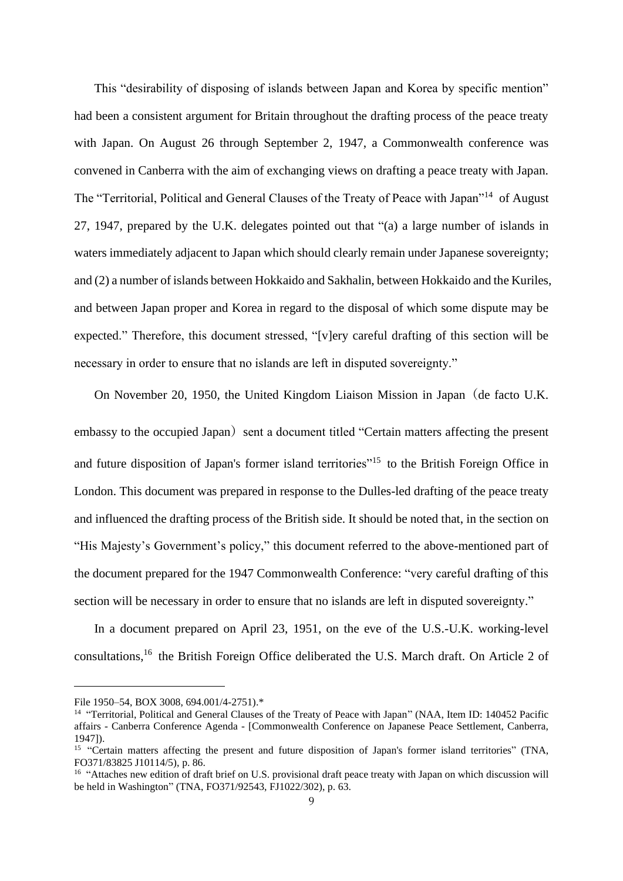This "desirability of disposing of islands between Japan and Korea by specific mention" had been a consistent argument for Britain throughout the drafting process of the peace treaty with Japan. On August 26 through September 2, 1947, a Commonwealth conference was convened in Canberra with the aim of exchanging views on drafting a peace treaty with Japan. The "Territorial, Political and General Clauses of the Treaty of Peace with Japan"<sup>14</sup> of August 27, 1947, prepared by the U.K. delegates pointed out that "(a) a large number of islands in waters immediately adjacent to Japan which should clearly remain under Japanese sovereignty; and (2) a number of islands between Hokkaido and Sakhalin, between Hokkaido and the Kuriles, and between Japan proper and Korea in regard to the disposal of which some dispute may be expected." Therefore, this document stressed, "[v]ery careful drafting of this section will be necessary in order to ensure that no islands are left in disputed sovereignty."

On November 20, 1950, the United Kingdom Liaison Mission in Japan(de facto U.K. embassy to the occupied Japan) sent a document titled "Certain matters affecting the present and future disposition of Japan's former island territories"<sup>15</sup> to the British Foreign Office in London. This document was prepared in response to the Dulles-led drafting of the peace treaty and influenced the drafting process of the British side. It should be noted that, in the section on "His Majesty's Government's policy," this document referred to the above-mentioned part of the document prepared for the 1947 Commonwealth Conference: "very careful drafting of this section will be necessary in order to ensure that no islands are left in disputed sovereignty."

In a document prepared on April 23, 1951, on the eve of the U.S.-U.K. working-level consultations, <sup>16</sup> the British Foreign Office deliberated the U.S. March draft. On Article 2 of

File 1950–54, BOX 3008, 694.001/4-2751).\*

<sup>&</sup>lt;sup>14</sup> "Territorial, Political and General Clauses of the Treaty of Peace with Japan" (NAA, Item ID: 140452 Pacific affairs - Canberra Conference Agenda - [Commonwealth Conference on Japanese Peace Settlement, Canberra, 1947]).

<sup>&</sup>lt;sup>15</sup> "Certain matters affecting the present and future disposition of Japan's former island territories" (TNA, FO371/83825 J10114/5), p. 86.

<sup>&</sup>lt;sup>16</sup> "Attaches new edition of draft brief on U.S. provisional draft peace treaty with Japan on which discussion will be held in Washington" (TNA, FO371/92543, FJ1022/302), p. 63.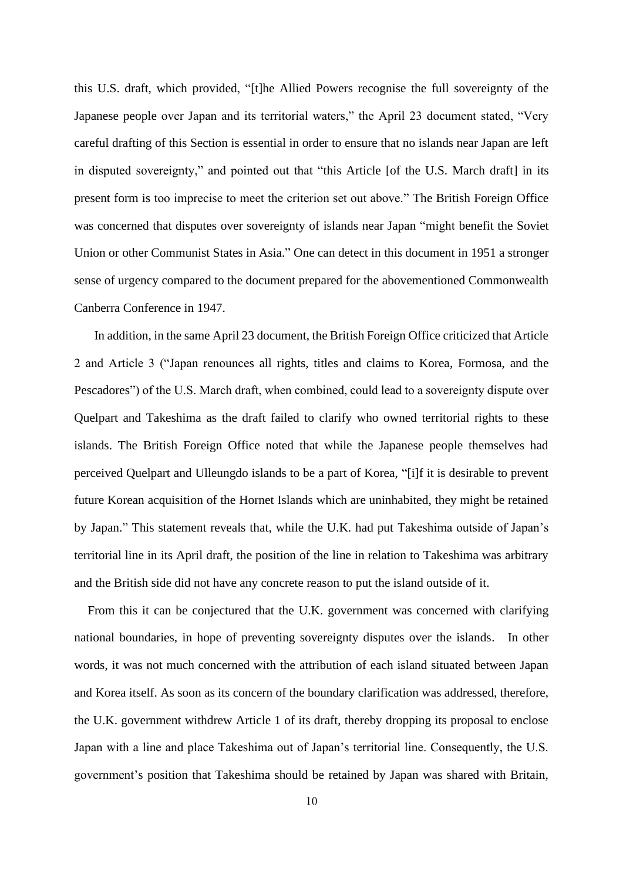this U.S. draft, which provided, "[t]he Allied Powers recognise the full sovereignty of the Japanese people over Japan and its territorial waters," the April 23 document stated, "Very careful drafting of this Section is essential in order to ensure that no islands near Japan are left in disputed sovereignty," and pointed out that "this Article [of the U.S. March draft] in its present form is too imprecise to meet the criterion set out above." The British Foreign Office was concerned that disputes over sovereignty of islands near Japan "might benefit the Soviet Union or other Communist States in Asia." One can detect in this document in 1951 a stronger sense of urgency compared to the document prepared for the abovementioned Commonwealth Canberra Conference in 1947.

In addition, in the same April 23 document, the British Foreign Office criticized that Article 2 and Article 3 ("Japan renounces all rights, titles and claims to Korea, Formosa, and the Pescadores") of the U.S. March draft, when combined, could lead to a sovereignty dispute over Quelpart and Takeshima as the draft failed to clarify who owned territorial rights to these islands. The British Foreign Office noted that while the Japanese people themselves had perceived Quelpart and Ulleungdo islands to be a part of Korea, "[i]f it is desirable to prevent future Korean acquisition of the Hornet Islands which are uninhabited, they might be retained by Japan." This statement reveals that, while the U.K. had put Takeshima outside of Japan's territorial line in its April draft, the position of the line in relation to Takeshima was arbitrary and the British side did not have any concrete reason to put the island outside of it.

From this it can be conjectured that the U.K. government was concerned with clarifying national boundaries, in hope of preventing sovereignty disputes over the islands. In other words, it was not much concerned with the attribution of each island situated between Japan and Korea itself. As soon as its concern of the boundary clarification was addressed, therefore, the U.K. government withdrew Article 1 of its draft, thereby dropping its proposal to enclose Japan with a line and place Takeshima out of Japan's territorial line. Consequently, the U.S. government's position that Takeshima should be retained by Japan was shared with Britain,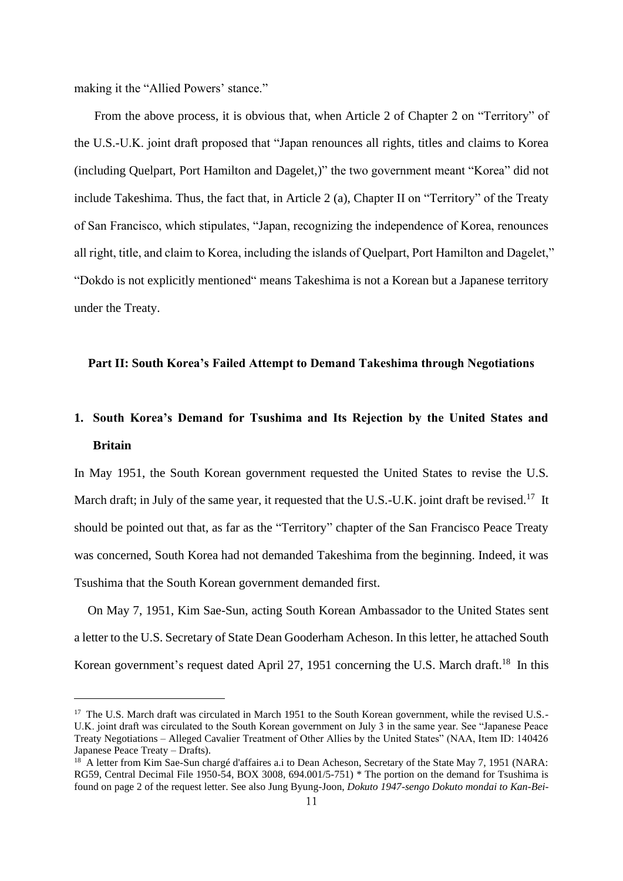making it the "Allied Powers' stance."

From the above process, it is obvious that, when Article 2 of Chapter 2 on "Territory" of the U.S.-U.K. joint draft proposed that "Japan renounces all rights, titles and claims to Korea (including Quelpart, Port Hamilton and Dagelet,)" the two government meant "Korea" did not include Takeshima. Thus, the fact that, in Article 2 (a), Chapter II on "Territory" of the Treaty of San Francisco, which stipulates, "Japan, recognizing the independence of Korea, renounces all right, title, and claim to Korea, including the islands of Quelpart, Port Hamilton and Dagelet," "Dokdo is not explicitly mentioned" means Takeshima is not a Korean but a Japanese territory under the Treaty.

# **Part II: South Korea's Failed Attempt to Demand Takeshima through Negotiations**

# **1. South Korea's Demand for Tsushima and Its Rejection by the United States and Britain**

In May 1951, the South Korean government requested the United States to revise the U.S. March draft; in July of the same year, it requested that the U.S.-U.K. joint draft be revised.<sup>17</sup> It should be pointed out that, as far as the "Territory" chapter of the San Francisco Peace Treaty was concerned, South Korea had not demanded Takeshima from the beginning. Indeed, it was Tsushima that the South Korean government demanded first.

On May 7, 1951, Kim Sae-Sun, acting South Korean Ambassador to the United States sent a letter to the U.S. Secretary of State Dean Gooderham Acheson. In this letter, he attached South Korean government's request dated April 27, 1951 concerning the U.S. March draft.<sup>18</sup> In this

<sup>&</sup>lt;sup>17</sup> The U.S. March draft was circulated in March 1951 to the South Korean government, while the revised U.S.-U.K. joint draft was circulated to the South Korean government on July 3 in the same year. See "Japanese Peace Treaty Negotiations – Alleged Cavalier Treatment of Other Allies by the United States" (NAA, Item ID: 140426 Japanese Peace Treaty – Drafts).

<sup>&</sup>lt;sup>18</sup> A letter from Kim Sae-Sun chargé d'affaires a.i to Dean Acheson, Secretary of the State May 7, 1951 (NARA: RG59, Central Decimal File 1950-54, BOX 3008, 694.001/5-751) \* The portion on the demand for Tsushima is found on page 2 of the request letter. See also Jung Byung-Joon, *Dokuto 1947-sengo Dokuto mondai to Kan-Bei-*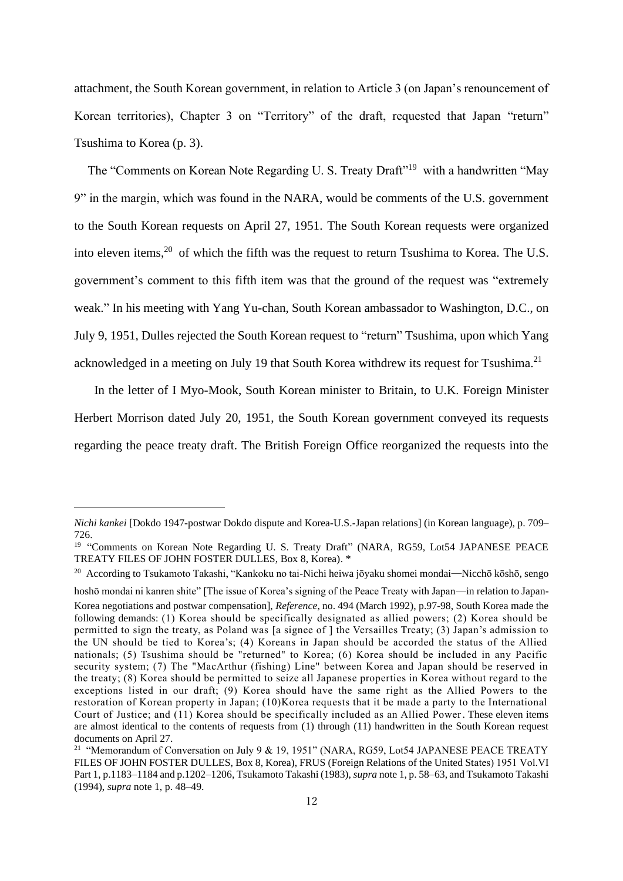attachment, the South Korean government, in relation to Article 3 (on Japan's renouncement of Korean territories), Chapter 3 on "Territory" of the draft, requested that Japan "return" Tsushima to Korea (p. 3).

The "Comments on Korean Note Regarding U. S. Treaty Draft"<sup>19</sup> with a handwritten "May 9" in the margin, which was found in the NARA, would be comments of the U.S. government to the South Korean requests on April 27, 1951. The South Korean requests were organized into eleven items,<sup>20</sup> of which the fifth was the request to return Tsushima to Korea. The U.S. government's comment to this fifth item was that the ground of the request was "extremely weak." In his meeting with Yang Yu-chan, South Korean ambassador to Washington, D.C., on July 9, 1951, Dulles rejected the South Korean request to "return" Tsushima, upon which Yang acknowledged in a meeting on July 19 that South Korea withdrew its request for Tsushima.<sup>21</sup>

In the letter of I Myo-Mook, South Korean minister to Britain, to U.K. Foreign Minister Herbert Morrison dated July 20, 1951, the South Korean government conveyed its requests regarding the peace treaty draft. The British Foreign Office reorganized the requests into the

*Nichi kankei* [Dokdo 1947-postwar Dokdo dispute and Korea-U.S.-Japan relations] (in Korean language), p. 709– 726.

<sup>&</sup>lt;sup>19</sup> "Comments on Korean Note Regarding U. S. Treaty Draft" (NARA, RG59, Lot54 JAPANESE PEACE TREATY FILES OF JOHN FOSTER DULLES, Box 8, Korea). \*

<sup>20</sup> According to Tsukamoto Takashi, "Kankoku no tai-Nichi heiwa jōyaku shomei mondai—Nicchō kōshō, sengo

hoshō mondai ni kanren shite" [The issue of Korea's signing of the Peace Treaty with Japan—in relation to Japan-Korea negotiations and postwar compensation], *Reference*, no. 494 (March 1992), p.97-98, South Korea made the following demands: (1) Korea should be specifically designated as allied powers; (2) Korea should be permitted to sign the treaty, as Poland was [a signee of ] the Versailles Treaty; (3) Japan's admission to the UN should be tied to Korea's; (4) Koreans in Japan should be accorded the status of the Allied nationals; (5) Tsushima should be "returned" to Korea; (6) Korea should be included in any Pacific security system; (7) The "MacArthur (fishing) Line" between Korea and Japan should be reserved in the treaty; (8) Korea should be permitted to seize all Japanese properties in Korea without regard to the exceptions listed in our draft; (9) Korea should have the same right as the Allied Powers to the restoration of Korean property in Japan; (10)Korea requests that it be made a party to the International Court of Justice; and (11) Korea should be specifically included as an Allied Power. These eleven items are almost identical to the contents of requests from (1) through (11) handwritten in the South Korean request documents on April 27.

<sup>&</sup>lt;sup>21</sup> "Memorandum of Conversation on July 9 & 19, 1951" (NARA, RG59, Lot54 JAPANESE PEACE TREATY FILES OF JOHN FOSTER DULLES, Box 8, Korea), FRUS (Foreign Relations of the United States) 1951 Vol.Ⅵ Part 1, p.1183–1184 and p.1202–1206, Tsukamoto Takashi (1983), *supra* note 1, p. 58–63, and Tsukamoto Takashi (1994), *supra* note 1, p. 48–49.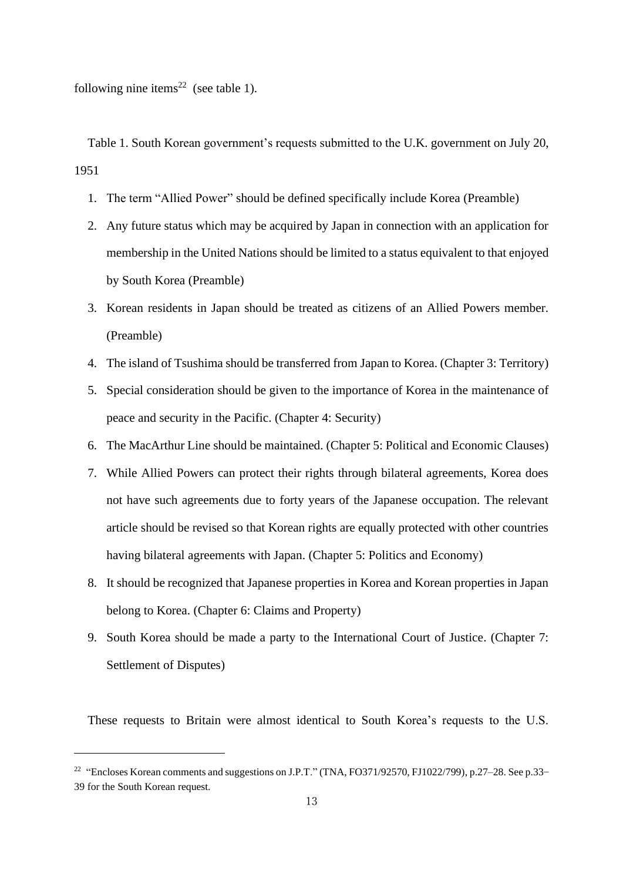following nine items<sup>22</sup> (see table 1).

Table 1. South Korean government's requests submitted to the U.K. government on July 20, 1951

- 1. The term "Allied Power" should be defined specifically include Korea (Preamble)
- 2. Any future status which may be acquired by Japan in connection with an application for membership in the United Nations should be limited to a status equivalent to that enjoyed by South Korea (Preamble)
- 3. Korean residents in Japan should be treated as citizens of an Allied Powers member. (Preamble)
- 4. The island of Tsushima should be transferred from Japan to Korea. (Chapter 3: Territory)
- 5. Special consideration should be given to the importance of Korea in the maintenance of peace and security in the Pacific. (Chapter 4: Security)
- 6. The MacArthur Line should be maintained. (Chapter 5: Political and Economic Clauses)
- 7. While Allied Powers can protect their rights through bilateral agreements, Korea does not have such agreements due to forty years of the Japanese occupation. The relevant article should be revised so that Korean rights are equally protected with other countries having bilateral agreements with Japan. (Chapter 5: Politics and Economy)
- 8. It should be recognized that Japanese properties in Korea and Korean properties in Japan belong to Korea. (Chapter 6: Claims and Property)
- 9. South Korea should be made a party to the International Court of Justice. (Chapter 7: Settlement of Disputes)

These requests to Britain were almost identical to South Korea's requests to the U.S.

<sup>&</sup>lt;sup>22</sup> "Encloses Korean comments and suggestions on J.P.T." (TNA, FO371/92570, FJ1022/799), p.27–28. See p.33– 39 for the South Korean request.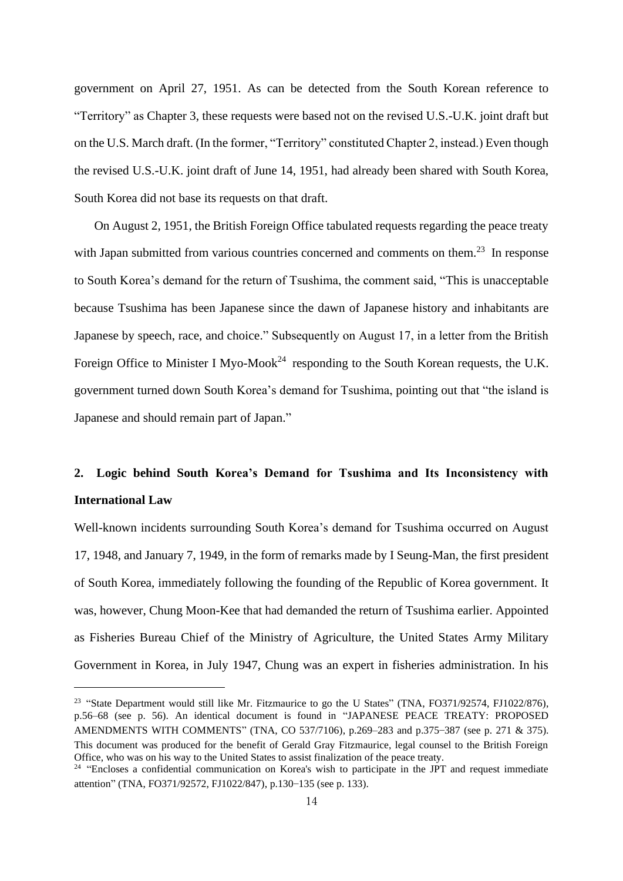government on April 27, 1951. As can be detected from the South Korean reference to "Territory" as Chapter 3, these requests were based not on the revised U.S.-U.K. joint draft but on the U.S. March draft. (In the former, "Territory" constituted Chapter 2, instead.) Even though the revised U.S.-U.K. joint draft of June 14, 1951, had already been shared with South Korea, South Korea did not base its requests on that draft.

On August 2, 1951, the British Foreign Office tabulated requests regarding the peace treaty with Japan submitted from various countries concerned and comments on them.<sup>23</sup> In response to South Korea's demand for the return of Tsushima, the comment said, "This is unacceptable because Tsushima has been Japanese since the dawn of Japanese history and inhabitants are Japanese by speech, race, and choice." Subsequently on August 17, in a letter from the British Foreign Office to Minister I Myo-Mook<sup>24</sup> responding to the South Korean requests, the U.K. government turned down South Korea's demand for Tsushima, pointing out that "the island is Japanese and should remain part of Japan."

# **2. Logic behind South Korea's Demand for Tsushima and Its Inconsistency with International Law**

Well-known incidents surrounding South Korea's demand for Tsushima occurred on August 17, 1948, and January 7, 1949, in the form of remarks made by I Seung-Man, the first president of South Korea, immediately following the founding of the Republic of Korea government. It was, however, Chung Moon-Kee that had demanded the return of Tsushima earlier. Appointed as Fisheries Bureau Chief of the Ministry of Agriculture, the United States Army Military Government in Korea, in July 1947, Chung was an expert in fisheries administration. In his

<sup>&</sup>lt;sup>23</sup> "State Department would still like Mr. Fitzmaurice to go the U States" (TNA, FO371/92574, FJ1022/876), p.56–68 (see p. 56). An identical document is found in "JAPANESE PEACE TREATY: PROPOSED AMENDMENTS WITH COMMENTS" (TNA, CO 537/7106), p.269–283 and p.375–387 (see p. 271 & 375). This document was produced for the benefit of Gerald Gray Fitzmaurice, legal counsel to the British Foreign Office, who was on his way to the United States to assist finalization of the peace treaty.

<sup>&</sup>lt;sup>24</sup> "Encloses a confidential communication on Korea's wish to participate in the JPT and request immediate attention" (TNA, FO371/92572, FJ1022/847), p.130–135 (see p. 133).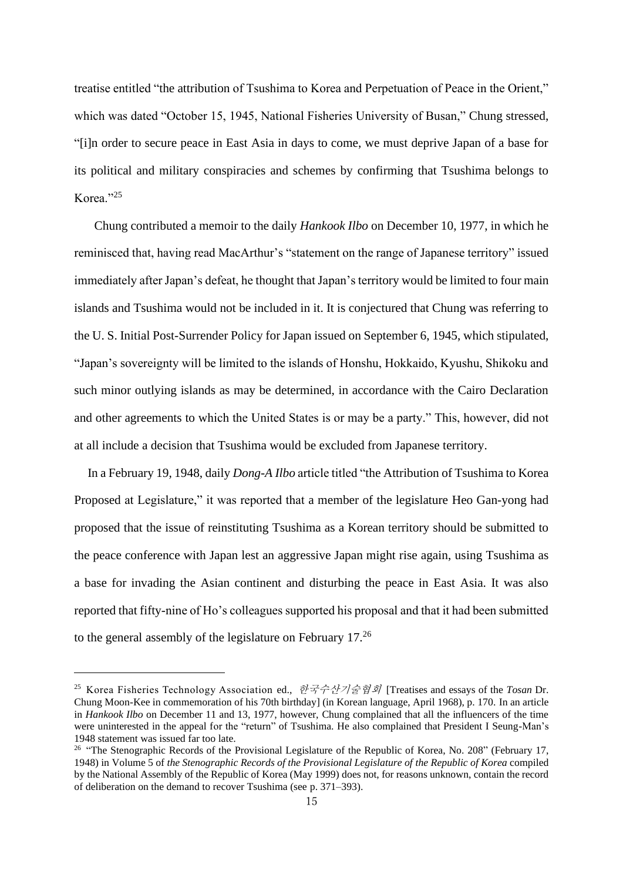treatise entitled "the attribution of Tsushima to Korea and Perpetuation of Peace in the Orient," which was dated "October 15, 1945, National Fisheries University of Busan," Chung stressed, "[i]n order to secure peace in East Asia in days to come, we must deprive Japan of a base for its political and military conspiracies and schemes by confirming that Tsushima belongs to Korea." $^{25}$ 

Chung contributed a memoir to the daily *Hankook Ilbo* on December 10, 1977, in which he reminisced that, having read MacArthur's "statement on the range of Japanese territory" issued immediately after Japan's defeat, he thought that Japan's territory would be limited to four main islands and Tsushima would not be included in it. It is conjectured that Chung was referring to the U. S. Initial Post-Surrender Policy for Japan issued on September 6, 1945, which stipulated, "Japan's sovereignty will be limited to the islands of Honshu, Hokkaido, Kyushu, Shikoku and such minor outlying islands as may be determined, in accordance with the Cairo Declaration and other agreements to which the United States is or may be a party." This, however, did not at all include a decision that Tsushima would be excluded from Japanese territory.

In a February 19, 1948, daily *Dong-A Ilbo* article titled "the Attribution of Tsushima to Korea Proposed at Legislature," it was reported that a member of the legislature Heo Gan-yong had proposed that the issue of reinstituting Tsushima as a Korean territory should be submitted to the peace conference with Japan lest an aggressive Japan might rise again, using Tsushima as a base for invading the Asian continent and disturbing the peace in East Asia. It was also reported that fifty-nine of Ho's colleagues supported his proposal and that it had been submitted to the general assembly of the legislature on February 17.<sup>26</sup>

<sup>25</sup> Korea Fisheries Technology Association ed., 한국수산기술협회 [Treatises and essays of the *Tosan* Dr. Chung Moon-Kee in commemoration of his 70th birthday] (in Korean language, April 1968), p. 170. In an article in *Hankook Ilbo* on December 11 and 13, 1977, however, Chung complained that all the influencers of the time were uninterested in the appeal for the "return" of Tsushima. He also complained that President I Seung-Man's 1948 statement was issued far too late.

<sup>&</sup>lt;sup>26</sup> "The Stenographic Records of the Provisional Legislature of the Republic of Korea, No. 208" (February 17, 1948) in Volume 5 of *the Stenographic Records of the Provisional Legislature of the Republic of Korea* compiled by the National Assembly of the Republic of Korea (May 1999) does not, for reasons unknown, contain the record of deliberation on the demand to recover Tsushima (see p. 371–393).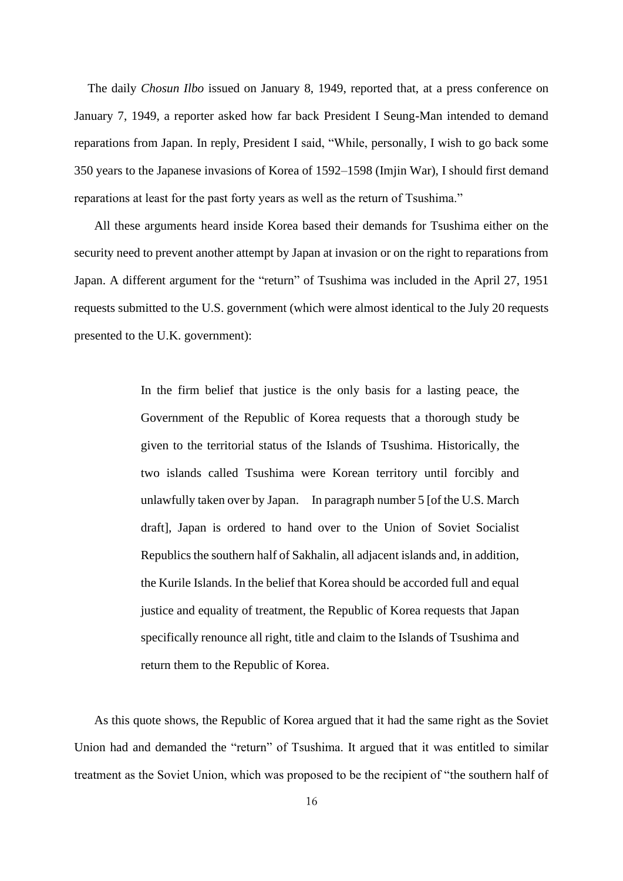The daily *Chosun Ilbo* issued on January 8, 1949, reported that, at a press conference on January 7, 1949, a reporter asked how far back President I Seung-Man intended to demand reparations from Japan. In reply, President I said, "While, personally, I wish to go back some 350 years to the Japanese invasions of Korea of 1592–1598 (Imjin War), I should first demand reparations at least for the past forty years as well as the return of Tsushima."

All these arguments heard inside Korea based their demands for Tsushima either on the security need to prevent another attempt by Japan at invasion or on the right to reparations from Japan. A different argument for the "return" of Tsushima was included in the April 27, 1951 requests submitted to the U.S. government (which were almost identical to the July 20 requests presented to the U.K. government):

> In the firm belief that justice is the only basis for a lasting peace, the Government of the Republic of Korea requests that a thorough study be given to the territorial status of the Islands of Tsushima. Historically, the two islands called Tsushima were Korean territory until forcibly and unlawfully taken over by Japan. In paragraph number 5 [of the U.S. March draft], Japan is ordered to hand over to the Union of Soviet Socialist Republics the southern half of Sakhalin, all adjacent islands and, in addition, the Kurile Islands. In the belief that Korea should be accorded full and equal justice and equality of treatment, the Republic of Korea requests that Japan specifically renounce all right, title and claim to the Islands of Tsushima and return them to the Republic of Korea.

As this quote shows, the Republic of Korea argued that it had the same right as the Soviet Union had and demanded the "return" of Tsushima. It argued that it was entitled to similar treatment as the Soviet Union, which was proposed to be the recipient of "the southern half of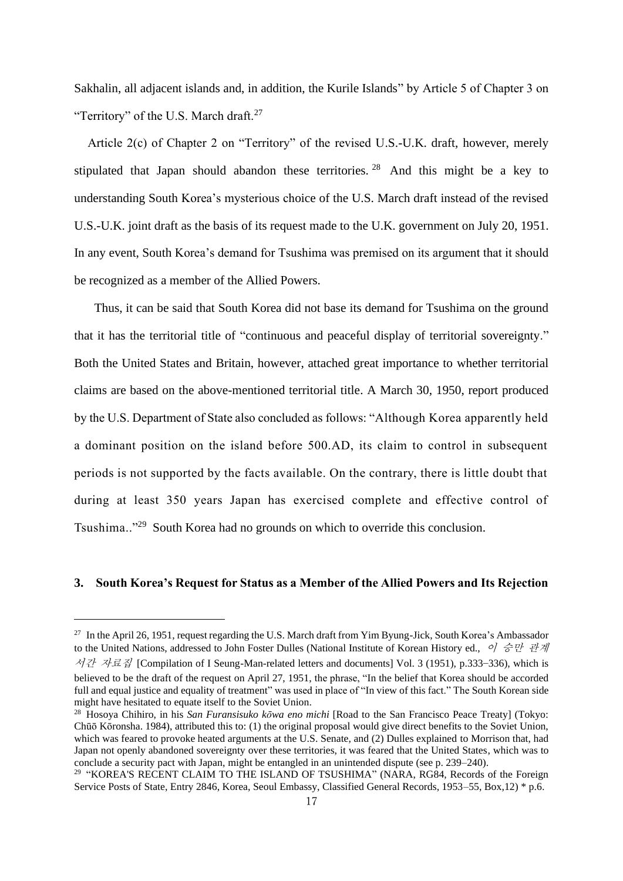Sakhalin, all adjacent islands and, in addition, the Kurile Islands" by Article 5 of Chapter 3 on "Territory" of the U.S. March draft.<sup>27</sup>

Article 2(c) of Chapter 2 on "Territory" of the revised U.S.-U.K. draft, however, merely stipulated that Japan should abandon these territories.  $28$  And this might be a key to understanding South Korea's mysterious choice of the U.S. March draft instead of the revised U.S.-U.K. joint draft as the basis of its request made to the U.K. government on July 20, 1951. In any event, South Korea's demand for Tsushima was premised on its argument that it should be recognized as a member of the Allied Powers.

Thus, it can be said that South Korea did not base its demand for Tsushima on the ground that it has the territorial title of "continuous and peaceful display of territorial sovereignty." Both the United States and Britain, however, attached great importance to whether territorial claims are based on the above-mentioned territorial title. A March 30, 1950, report produced by the U.S. Department of State also concluded as follows: "Although Korea apparently held a dominant position on the island before 500.AD, its claim to control in subsequent periods is not supported by the facts available. On the contrary, there is little doubt that during at least 350 years Japan has exercised complete and effective control of Tsushima.."<sup>29</sup> South Korea had no grounds on which to override this conclusion.

### **3. South Korea's Request for Status as a Member of the Allied Powers and Its Rejection**

<sup>&</sup>lt;sup>27</sup> In the April 26, 1951, request regarding the U.S. March draft from Yim Byung-Jick, South Korea's Ambassador to the United Nations, addressed to John Foster Dulles (National Institute of Korean History ed., 이 승만 관계 서간 자료집 [Compilation of I Seung-Man-related letters and documents] Vol. 3 (1951), p.333–336), which is believed to be the draft of the request on April 27, 1951, the phrase, "In the belief that Korea should be accorded full and equal justice and equality of treatment" was used in place of "In view of this fact." The South Korean side

might have hesitated to equate itself to the Soviet Union.

<sup>28</sup> Hosoya Chihiro, in his *San Furansisuko kōwa eno michi* [Road to the San Francisco Peace Treaty] (Tokyo: Chūō Kōronsha. 1984), attributed this to: (1) the original proposal would give direct benefits to the Soviet Union, which was feared to provoke heated arguments at the U.S. Senate, and (2) Dulles explained to Morrison that, had Japan not openly abandoned sovereignty over these territories, it was feared that the United States, which was to conclude a security pact with Japan, might be entangled in an unintended dispute (see p. 239–240).

<sup>&</sup>lt;sup>29</sup> "KOREA'S RECENT CLAIM TO THE ISLAND OF TSUSHIMA" (NARA, RG84, Records of the Foreign Service Posts of State, Entry 2846, Korea, Seoul Embassy, Classified General Records, 1953–55, Box,12) \* p.6.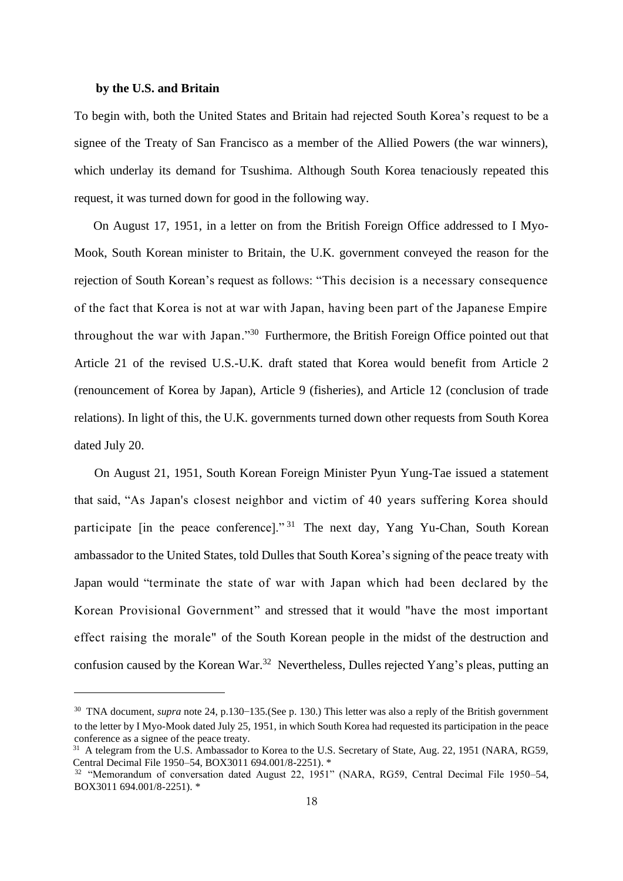### **by the U.S. and Britain**

To begin with, both the United States and Britain had rejected South Korea's request to be a signee of the Treaty of San Francisco as a member of the Allied Powers (the war winners), which underlay its demand for Tsushima. Although South Korea tenaciously repeated this request, it was turned down for good in the following way.

On August 17, 1951, in a letter on from the British Foreign Office addressed to I Myo-Mook, South Korean minister to Britain, the U.K. government conveyed the reason for the rejection of South Korean's request as follows: "This decision is a necessary consequence of the fact that Korea is not at war with Japan, having been part of the Japanese Empire throughout the war with Japan."<sup>30</sup> Furthermore, the British Foreign Office pointed out that Article 21 of the revised U.S.-U.K. draft stated that Korea would benefit from Article 2 (renouncement of Korea by Japan), Article 9 (fisheries), and Article 12 (conclusion of trade relations). In light of this, the U.K. governments turned down other requests from South Korea dated July 20.

On August 21, 1951, South Korean Foreign Minister Pyun Yung-Tae issued a statement that said, "As Japan's closest neighbor and victim of 40 years suffering Korea should participate [in the peace conference]." <sup>31</sup> The next day, Yang Yu-Chan, South Korean ambassador to the United States, told Dulles that South Korea's signing of the peace treaty with Japan would "terminate the state of war with Japan which had been declared by the Korean Provisional Government" and stressed that it would "have the most important effect raising the morale" of the South Korean people in the midst of the destruction and confusion caused by the Korean War.<sup>32</sup> Nevertheless, Dulles rejected Yang's pleas, putting an

<sup>&</sup>lt;sup>30</sup> TNA document, *supra* note 24, p.130–135.(See p. 130.) This letter was also a reply of the British government to the letter by I Myo-Mook dated July 25, 1951, in which South Korea had requested its participation in the peace conference as a signee of the peace treaty.

<sup>&</sup>lt;sup>31</sup> A telegram from the U.S. Ambassador to Korea to the U.S. Secretary of State, Aug. 22, 1951 (NARA, RG59, Central Decimal File 1950–54, BOX3011 694.001/8-2251). \*

<sup>&</sup>lt;sup>32</sup> "Memorandum of conversation dated August 22, 1951" (NARA, RG59, Central Decimal File 1950–54, BOX3011 694.001/8-2251). \*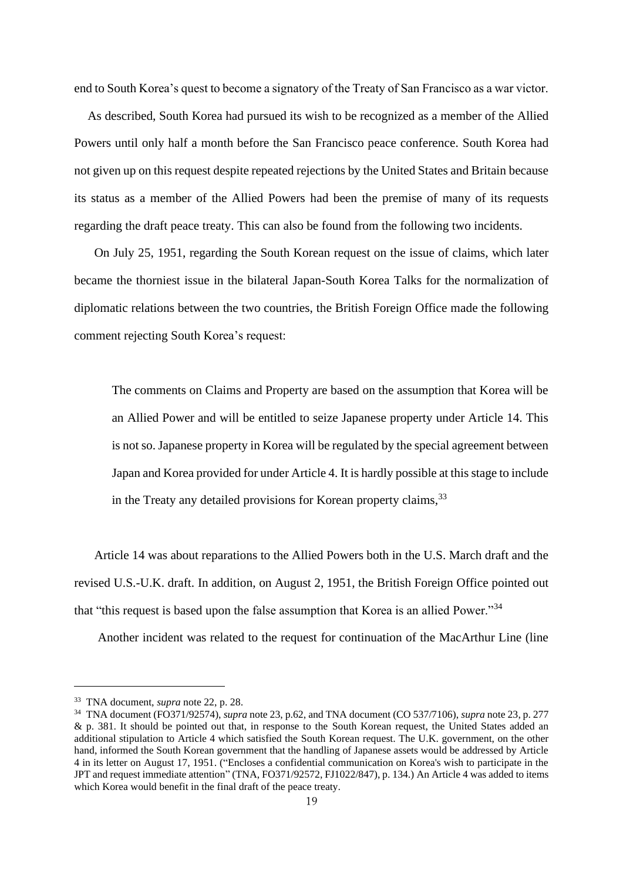end to South Korea's quest to become a signatory of the Treaty of San Francisco as a war victor.

As described, South Korea had pursued its wish to be recognized as a member of the Allied Powers until only half a month before the San Francisco peace conference. South Korea had not given up on this request despite repeated rejections by the United States and Britain because its status as a member of the Allied Powers had been the premise of many of its requests regarding the draft peace treaty. This can also be found from the following two incidents.

On July 25, 1951, regarding the South Korean request on the issue of claims, which later became the thorniest issue in the bilateral Japan-South Korea Talks for the normalization of diplomatic relations between the two countries, the British Foreign Office made the following comment rejecting South Korea's request:

The comments on Claims and Property are based on the assumption that Korea will be an Allied Power and will be entitled to seize Japanese property under Article 14. This is not so. Japanese property in Korea will be regulated by the special agreement between Japan and Korea provided for under Article 4. It is hardly possible at this stage to include in the Treaty any detailed provisions for Korean property claims,  $33$ 

Article 14 was about reparations to the Allied Powers both in the U.S. March draft and the revised U.S.-U.K. draft. In addition, on August 2, 1951, the British Foreign Office pointed out that "this request is based upon the false assumption that Korea is an allied Power."<sup>34</sup>

Another incident was related to the request for continuation of the MacArthur Line (line

<sup>33</sup> TNA document, *supra* note 22, p. 28.

<sup>34</sup> TNA document (FO371/92574), *supra* note 23, p.62, and TNA document (CO 537/7106), *supra* note 23, p. 277 & p. 381. It should be pointed out that, in response to the South Korean request, the United States added an additional stipulation to Article 4 which satisfied the South Korean request. The U.K. government, on the other hand, informed the South Korean government that the handling of Japanese assets would be addressed by Article 4 in its letter on August 17, 1951. ("Encloses a confidential communication on Korea's wish to participate in the JPT and request immediate attention" (TNA, FO371/92572, FJ1022/847), p. 134.) An Article 4 was added to items which Korea would benefit in the final draft of the peace treaty.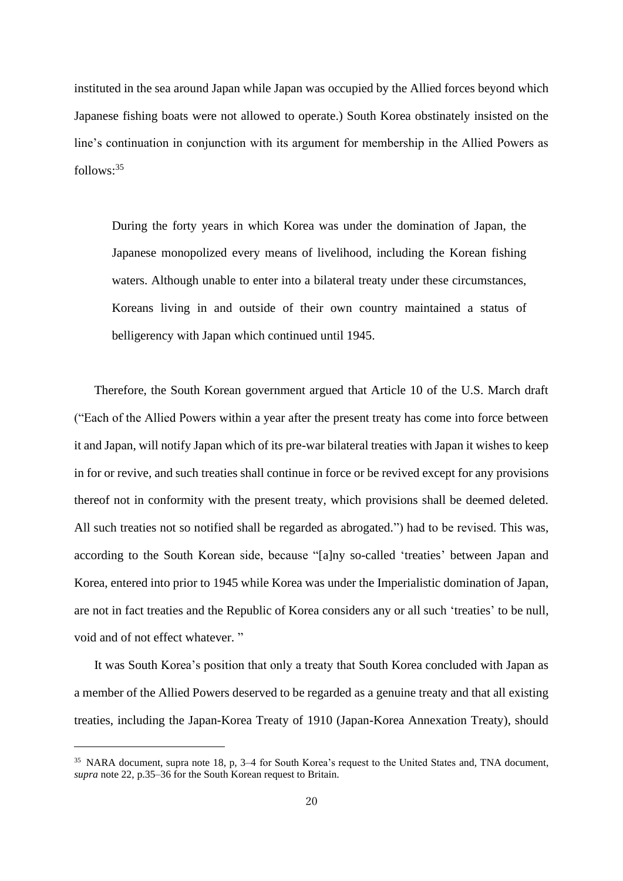instituted in the sea around Japan while Japan was occupied by the Allied forces beyond which Japanese fishing boats were not allowed to operate.) South Korea obstinately insisted on the line's continuation in conjunction with its argument for membership in the Allied Powers as follows:<sup>35</sup>

During the forty years in which Korea was under the domination of Japan, the Japanese monopolized every means of livelihood, including the Korean fishing waters. Although unable to enter into a bilateral treaty under these circumstances, Koreans living in and outside of their own country maintained a status of belligerency with Japan which continued until 1945.

Therefore, the South Korean government argued that Article 10 of the U.S. March draft ("Each of the Allied Powers within a year after the present treaty has come into force between it and Japan, will notify Japan which of its pre-war bilateral treaties with Japan it wishes to keep in for or revive, and such treaties shall continue in force or be revived except for any provisions thereof not in conformity with the present treaty, which provisions shall be deemed deleted. All such treaties not so notified shall be regarded as abrogated.") had to be revised. This was, according to the South Korean side, because "[a]ny so-called 'treaties' between Japan and Korea, entered into prior to 1945 while Korea was under the Imperialistic domination of Japan, are not in fact treaties and the Republic of Korea considers any or all such 'treaties' to be null, void and of not effect whatever. "

It was South Korea's position that only a treaty that South Korea concluded with Japan as a member of the Allied Powers deserved to be regarded as a genuine treaty and that all existing treaties, including the Japan-Korea Treaty of 1910 (Japan-Korea Annexation Treaty), should

<sup>35</sup> NARA document, supra note 18, p, 3–4 for South Korea's request to the United States and, TNA document, *supra* note 22, p.35–36 for the South Korean request to Britain.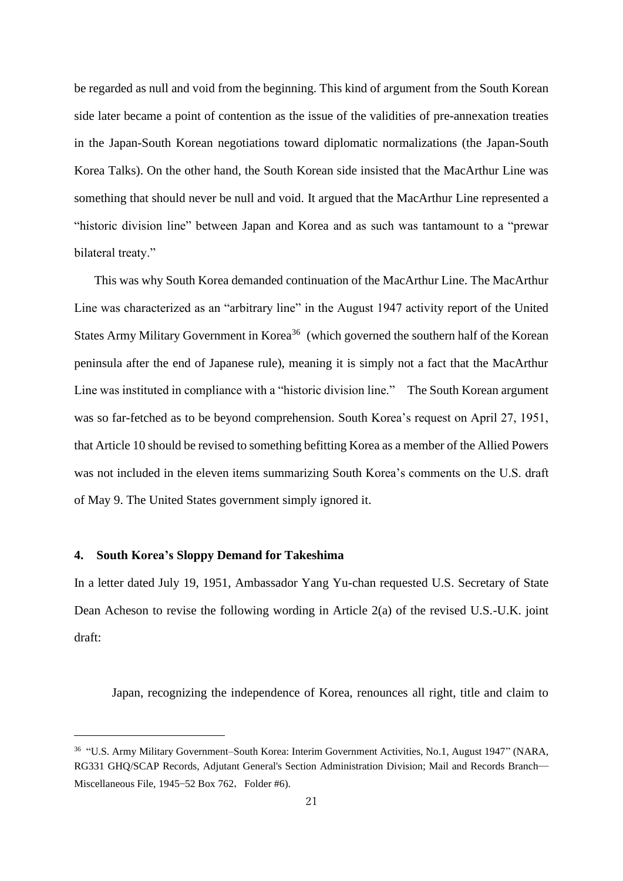be regarded as null and void from the beginning. This kind of argument from the South Korean side later became a point of contention as the issue of the validities of pre-annexation treaties in the Japan-South Korean negotiations toward diplomatic normalizations (the Japan-South Korea Talks). On the other hand, the South Korean side insisted that the MacArthur Line was something that should never be null and void. It argued that the MacArthur Line represented a "historic division line" between Japan and Korea and as such was tantamount to a "prewar bilateral treaty."

This was why South Korea demanded continuation of the MacArthur Line. The MacArthur Line was characterized as an "arbitrary line" in the August 1947 activity report of the United States Army Military Government in Korea<sup>36</sup> (which governed the southern half of the Korean peninsula after the end of Japanese rule), meaning it is simply not a fact that the MacArthur Line was instituted in compliance with a "historic division line." The South Korean argument was so far-fetched as to be beyond comprehension. South Korea's request on April 27, 1951, that Article 10 should be revised to something befitting Korea as a member of the Allied Powers was not included in the eleven items summarizing South Korea's comments on the U.S. draft of May 9. The United States government simply ignored it.

### **4. South Korea's Sloppy Demand for Takeshima**

In a letter dated July 19, 1951, Ambassador Yang Yu-chan requested U.S. Secretary of State Dean Acheson to revise the following wording in Article 2(a) of the revised U.S.-U.K. joint draft:

Japan, recognizing the independence of Korea, renounces all right, title and claim to

<sup>36</sup> "U.S. Army Military Government–South Korea: Interim Government Activities, No.1, August 1947" (NARA, RG331 GHQ/SCAP Records, Adjutant General's Section Administration Division; Mail and Records Branch— Miscellaneous File, 1945–52 Box 762, Folder #6).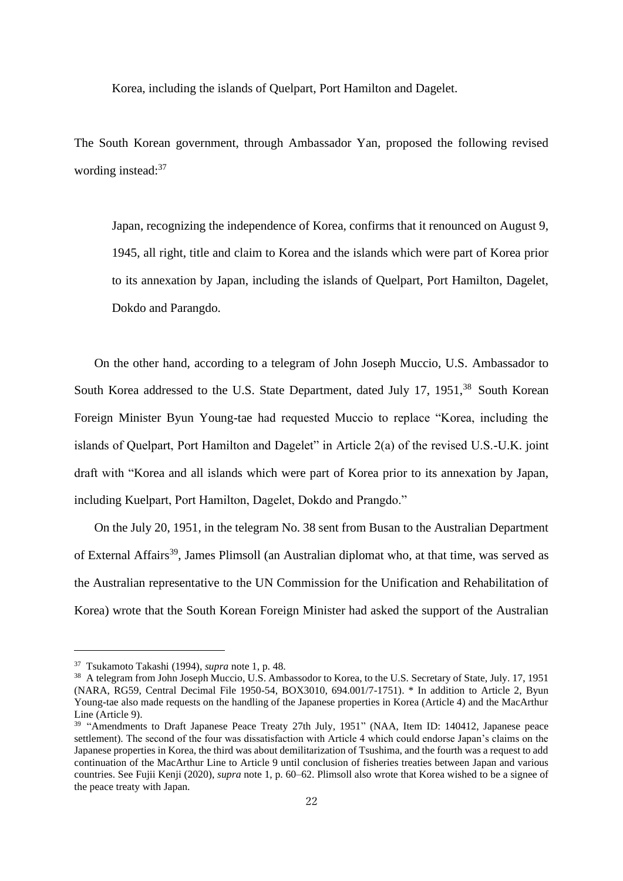Korea, including the islands of Quelpart, Port Hamilton and Dagelet.

The South Korean government, through Ambassador Yan, proposed the following revised wording instead:<sup>37</sup>

Japan, recognizing the independence of Korea, confirms that it renounced on August 9, 1945, all right, title and claim to Korea and the islands which were part of Korea prior to its annexation by Japan, including the islands of Quelpart, Port Hamilton, Dagelet, Dokdo and Parangdo.

On the other hand, according to a telegram of John Joseph Muccio, U.S. Ambassador to South Korea addressed to the U.S. State Department, dated July 17, 1951,<sup>38</sup> South Korean Foreign Minister Byun Young-tae had requested Muccio to replace "Korea, including the islands of Quelpart, Port Hamilton and Dagelet" in Article 2(a) of the revised U.S.-U.K. joint draft with "Korea and all islands which were part of Korea prior to its annexation by Japan, including Kuelpart, Port Hamilton, Dagelet, Dokdo and Prangdo."

On the July 20, 1951, in the telegram No. 38 sent from Busan to the Australian Department of External Affairs<sup>39</sup>, James Plimsoll (an Australian diplomat who, at that time, was served as the Australian representative to the UN Commission for the Unification and Rehabilitation of Korea) wrote that the South Korean Foreign Minister had asked the support of the Australian

<sup>37</sup> Tsukamoto Takashi (1994), *supra* note 1, p. 48.

<sup>&</sup>lt;sup>38</sup> A telegram from John Joseph Muccio, U.S. Ambassodor to Korea, to the U.S. Secretary of State, July. 17, 1951 (NARA, RG59, Central Decimal File 1950-54, BOX3010, 694.001/7-1751). \* In addition to Article 2, Byun Young-tae also made requests on the handling of the Japanese properties in Korea (Article 4) and the MacArthur Line (Article 9).

<sup>&</sup>lt;sup>39</sup> "Amendments to Draft Japanese Peace Treaty 27th July, 1951" (NAA, Item ID: 140412, Japanese peace settlement). The second of the four was dissatisfaction with Article 4 which could endorse Japan's claims on the Japanese properties in Korea, the third was about demilitarization of Tsushima, and the fourth was a request to add continuation of the MacArthur Line to Article 9 until conclusion of fisheries treaties between Japan and various countries. See Fujii Kenji (2020), *supra* note 1, p. 60–62. Plimsoll also wrote that Korea wished to be a signee of the peace treaty with Japan.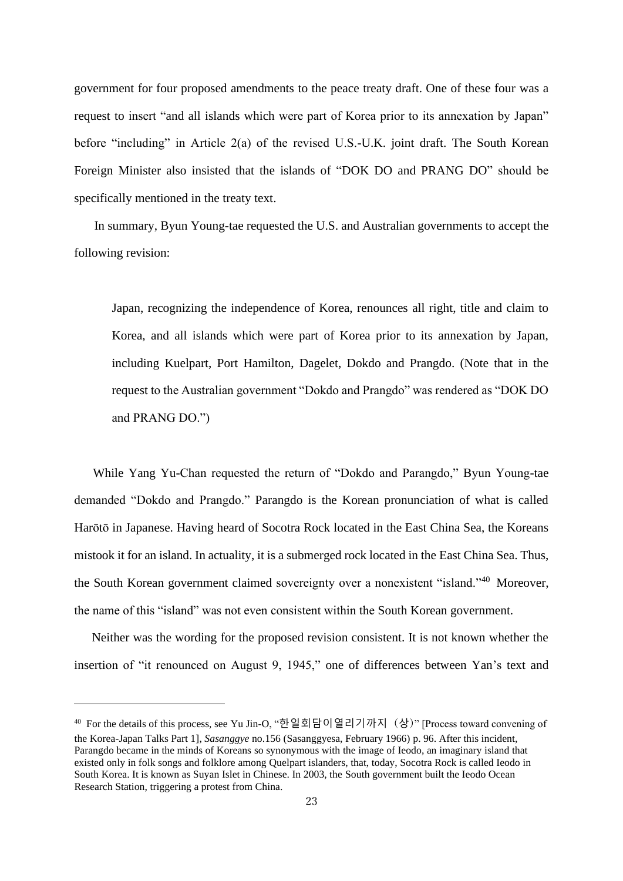government for four proposed amendments to the peace treaty draft. One of these four was a request to insert "and all islands which were part of Korea prior to its annexation by Japan" before "including" in Article 2(a) of the revised U.S.-U.K. joint draft. The South Korean Foreign Minister also insisted that the islands of "DOK DO and PRANG DO" should be specifically mentioned in the treaty text.

In summary, Byun Young-tae requested the U.S. and Australian governments to accept the following revision:

Japan, recognizing the independence of Korea, renounces all right, title and claim to Korea, and all islands which were part of Korea prior to its annexation by Japan, including Kuelpart, Port Hamilton, Dagelet, Dokdo and Prangdo. (Note that in the request to the Australian government "Dokdo and Prangdo" was rendered as "DOK DO and PRANG DO.")

While Yang Yu-Chan requested the return of "Dokdo and Parangdo," Byun Young-tae demanded "Dokdo and Prangdo." Parangdo is the Korean pronunciation of what is called Harōtō in Japanese. Having heard of Socotra Rock located in the East China Sea, the Koreans mistook it for an island. In actuality, it is a submerged rock located in the East China Sea. Thus, the South Korean government claimed sovereignty over a nonexistent "island."<sup>40</sup> Moreover, the name of this "island" was not even consistent within the South Korean government.

Neither was the wording for the proposed revision consistent. It is not known whether the insertion of "it renounced on August 9, 1945," one of differences between Yan's text and

<sup>40</sup> For the details of this process, see Yu Jin-O, "한일회담이열리기까지 (상)" [Process toward convening of the Korea-Japan Talks Part 1], *Sasanggye* no.156 (Sasanggyesa, February 1966) p. 96. After this incident, Parangdo became in the minds of Koreans so synonymous with the image of Ieodo, an imaginary island that existed only in folk songs and folklore among Quelpart islanders, that, today, Socotra Rock is called Ieodo in South Korea. It is known as Suyan Islet in Chinese. In 2003, the South government built the Ieodo Ocean Research Station, triggering a protest from China.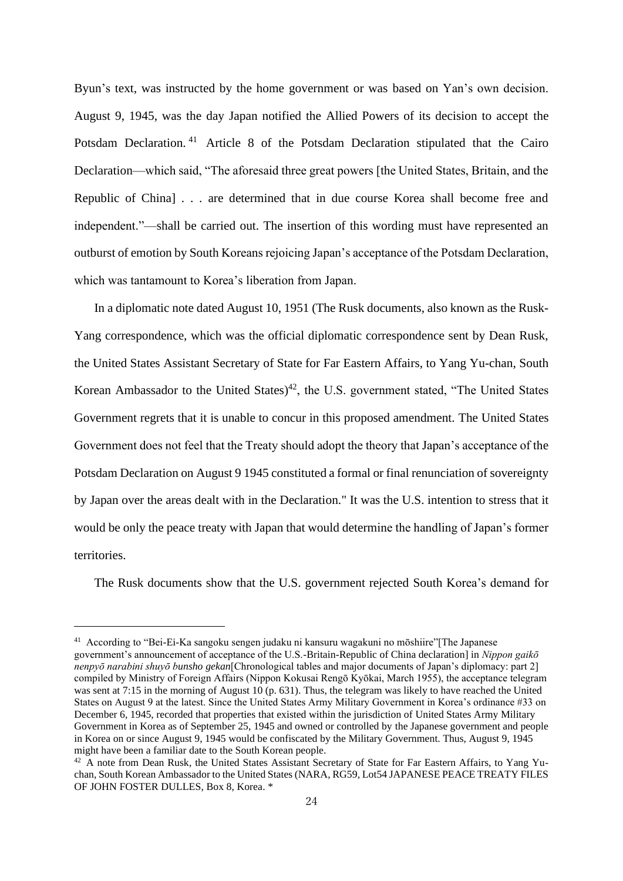Byun's text, was instructed by the home government or was based on Yan's own decision. August 9, 1945, was the day Japan notified the Allied Powers of its decision to accept the Potsdam Declaration. <sup>41</sup> Article 8 of the Potsdam Declaration stipulated that the Cairo Declaration—which said, "The aforesaid three great powers [the United States, Britain, and the Republic of China] . . . are determined that in due course Korea shall become free and independent."—shall be carried out. The insertion of this wording must have represented an outburst of emotion by South Koreans rejoicing Japan's acceptance of the Potsdam Declaration, which was tantamount to Korea's liberation from Japan.

In a diplomatic note dated August 10, 1951 (The Rusk documents, also known as the Rusk-Yang correspondence, which was the official diplomatic correspondence sent by Dean Rusk, the United States Assistant Secretary of State for Far Eastern Affairs, to Yang Yu-chan, South Korean Ambassador to the United States)<sup>42</sup>, the U.S. government stated, "The United States Government regrets that it is unable to concur in this proposed amendment. The United States Government does not feel that the Treaty should adopt the theory that Japan's acceptance of the Potsdam Declaration on August 9 1945 constituted a formal or final renunciation of sovereignty by Japan over the areas dealt with in the Declaration." It was the U.S. intention to stress that it would be only the peace treaty with Japan that would determine the handling of Japan's former territories.

The Rusk documents show that the U.S. government rejected South Korea's demand for

<sup>41</sup> According to "Bei-Ei-Ka sangoku sengen judaku ni kansuru wagakuni no mōshiire"[The Japanese government's announcement of acceptance of the U.S.-Britain-Republic of China declaration] in *Nippon gaikō nenpyō narabini shuyō bunsho gekan*[Chronological tables and major documents of Japan's diplomacy: part 2] compiled by Ministry of Foreign Affairs (Nippon Kokusai Rengō Kyōkai, March 1955), the acceptance telegram was sent at 7:15 in the morning of August 10 (p. 631). Thus, the telegram was likely to have reached the United States on August 9 at the latest. Since the United States Army Military Government in Korea's ordinance #33 on December 6, 1945, recorded that properties that existed within the jurisdiction of United States Army Military Government in Korea as of September 25, 1945 and owned or controlled by the Japanese government and people in Korea on or since August 9, 1945 would be confiscated by the Military Government. Thus, August 9, 1945 might have been a familiar date to the South Korean people.

<sup>42</sup> A note from Dean Rusk, the United States Assistant Secretary of State for Far Eastern Affairs, to Yang Yuchan, South Korean Ambassador to the United States (NARA, RG59, Lot54 JAPANESE PEACE TREATY FILES OF JOHN FOSTER DULLES, Box 8, Korea. \*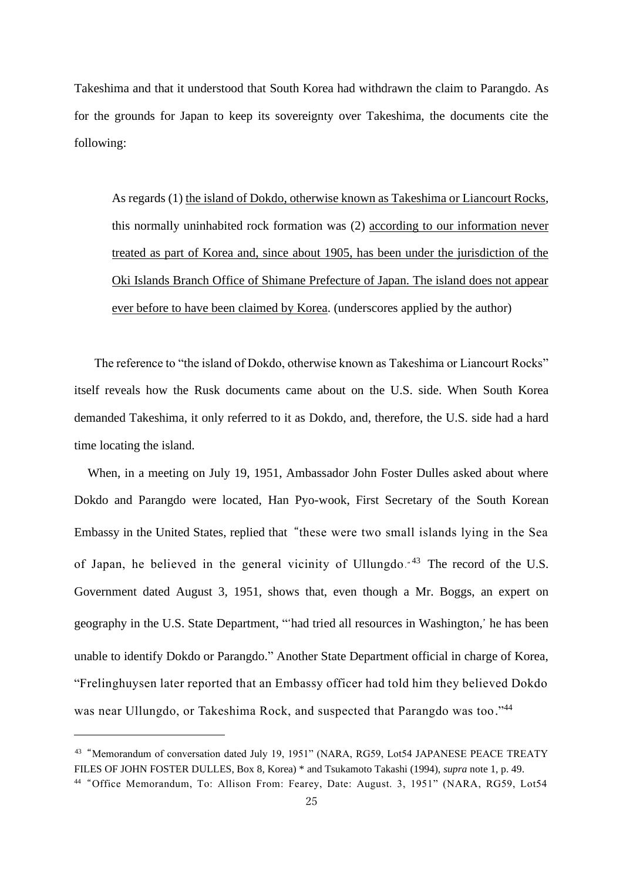Takeshima and that it understood that South Korea had withdrawn the claim to Parangdo. As for the grounds for Japan to keep its sovereignty over Takeshima, the documents cite the following:

As regards (1) the island of Dokdo, otherwise known as Takeshima or Liancourt Rocks, this normally uninhabited rock formation was (2) according to our information never treated as part of Korea and, since about 1905, has been under the jurisdiction of the Oki Islands Branch Office of Shimane Prefecture of Japan. The island does not appear ever before to have been claimed by Korea. (underscores applied by the author)

The reference to "the island of Dokdo, otherwise known as Takeshima or Liancourt Rocks" itself reveals how the Rusk documents came about on the U.S. side. When South Korea demanded Takeshima, it only referred to it as Dokdo, and, therefore, the U.S. side had a hard time locating the island.

When, in a meeting on July 19, 1951, Ambassador John Foster Dulles asked about where Dokdo and Parangdo were located, Han Pyo-wook, First Secretary of the South Korean Embassy in the United States, replied that "these were two small islands lying in the Sea of Japan, he believed in the general vicinity of Ullungdo." <sup>43</sup> The record of the U.S. Government dated August 3, 1951, shows that, even though a Mr. Boggs, an expert on geography in the U.S. State Department, "'had tried all resources in Washington,' he has been unable to identify Dokdo or Parangdo." Another State Department official in charge of Korea, "Frelinghuysen later reported that an Embassy officer had told him they believed Dokdo was near Ullungdo, or Takeshima Rock, and suspected that Parangdo was too."<sup>44</sup>

<sup>&</sup>lt;sup>43</sup> "Memorandum of conversation dated July 19, 1951" (NARA, RG59, Lot54 JAPANESE PEACE TREATY FILES OF JOHN FOSTER DULLES, Box 8, Korea) \* and Tsukamoto Takashi (1994), *supra* note 1, p. 49.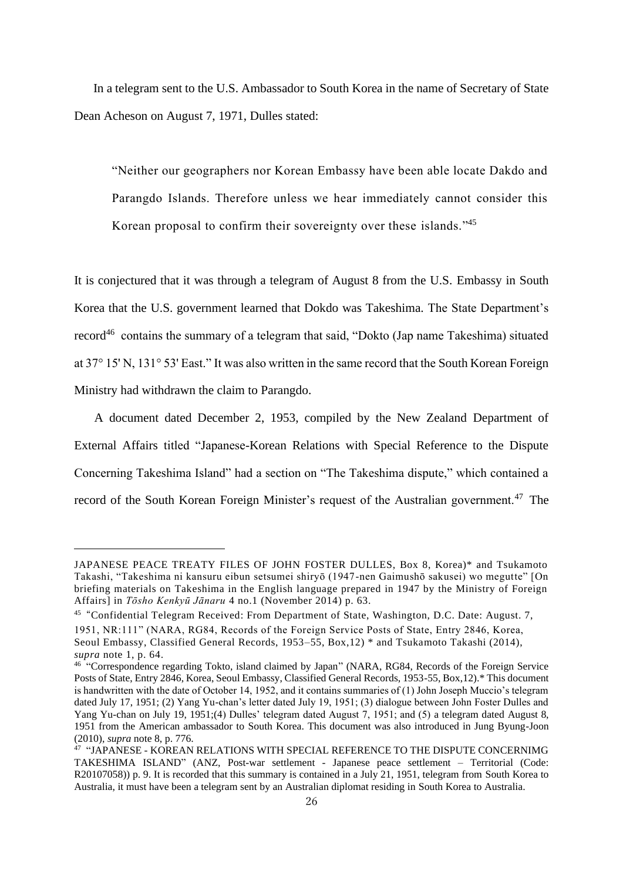In a telegram sent to the U.S. Ambassador to South Korea in the name of Secretary of State Dean Acheson on August 7, 1971, Dulles stated:

"Neither our geographers nor Korean Embassy have been able locate Dakdo and Parangdo Islands. Therefore unless we hear immediately cannot consider this Korean proposal to confirm their sovereignty over these islands."<sup>45</sup>

It is conjectured that it was through a telegram of August 8 from the U.S. Embassy in South Korea that the U.S. government learned that Dokdo was Takeshima. The State Department's record<sup>46</sup> contains the summary of a telegram that said, "Dokto (Jap name Takeshima) situated at 37° 15' N, 131° 53' East." It was also written in the same record that the South Korean Foreign Ministry had withdrawn the claim to Parangdo.

A document dated December 2, 1953, compiled by the New Zealand Department of External Affairs titled "Japanese-Korean Relations with Special Reference to the Dispute Concerning Takeshima Island" had a section on "The Takeshima dispute," which contained a record of the South Korean Foreign Minister's request of the Australian government.<sup>47</sup> The

JAPANESE PEACE TREATY FILES OF JOHN FOSTER DULLES, Box 8, Korea)\* and Tsukamoto Takashi, "Takeshima ni kansuru eibun setsumei shiryō (1947-nen Gaimushō sakusei) wo megutte" [On briefing materials on Takeshima in the English language prepared in 1947 by the Ministry of Foreign Affairs] in *Tōsho Kenkyū Jānaru* 4 no.1 (November 2014) p. 63.

<sup>&</sup>lt;sup>45</sup> "Confidential Telegram Received: From Department of State, Washington, D.C. Date: August. 7,

<sup>1951,</sup> NR:111" (NARA, RG84, Records of the Foreign Service Posts of State, Entry 2846, Korea, Seoul Embassy, Classified General Records, 1953–55, Box,12) \* and Tsukamoto Takashi (2014), *supra* note 1, p. 64.

<sup>46</sup> "Correspondence regarding Tokto, island claimed by Japan" (NARA, RG84, Records of the Foreign Service Posts of State, Entry 2846, Korea, Seoul Embassy, Classified General Records, 1953-55, Box,12).\* This document is handwritten with the date of October 14, 1952, and it contains summaries of (1) John Joseph Muccio's telegram dated July 17, 1951; (2) Yang Yu-chan's letter dated July 19, 1951; (3) dialogue between John Foster Dulles and Yang Yu-chan on July 19, 1951;(4) Dulles' telegram dated August 7, 1951; and (5) a telegram dated August 8, 1951 from the American ambassador to South Korea. This document was also introduced in Jung Byung-Joon (2010), *supra* note 8, p. 776.

<sup>47</sup> "JAPANESE - KOREAN RELATIONS WITH SPECIAL REFERENCE TO THE DISPUTE CONCERNIMG TAKESHIMA ISLAND" (ANZ, Post-war settlement - Japanese peace settlement – Territorial (Code: R20107058)) p. 9. It is recorded that this summary is contained in a July 21, 1951, telegram from South Korea to Australia, it must have been a telegram sent by an Australian diplomat residing in South Korea to Australia.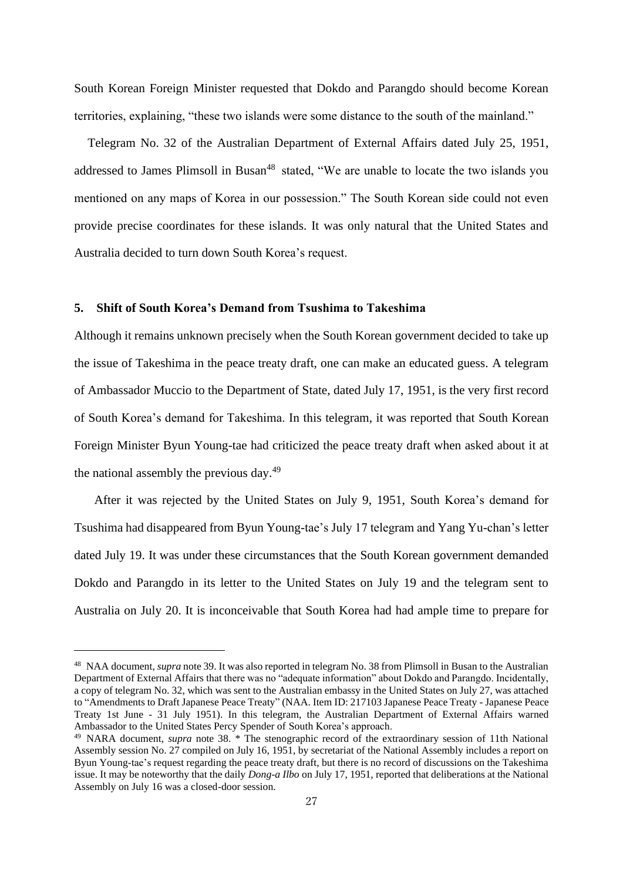South Korean Foreign Minister requested that Dokdo and Parangdo should become Korean territories, explaining, "these two islands were some distance to the south of the mainland."

Telegram No. 32 of the Australian Department of External Affairs dated July 25, 1951, addressed to James Plimsoll in Busan<sup>48</sup> stated, "We are unable to locate the two islands you mentioned on any maps of Korea in our possession." The South Korean side could not even provide precise coordinates for these islands. It was only natural that the United States and Australia decided to turn down South Korea's request.

## **5. Shift of South Korea's Demand from Tsushima to Takeshima**

Although it remains unknown precisely when the South Korean government decided to take up the issue of Takeshima in the peace treaty draft, one can make an educated guess. A telegram of Ambassador Muccio to the Department of State, dated July 17, 1951, is the very first record of South Korea's demand for Takeshima. In this telegram, it was reported that South Korean Foreign Minister Byun Young-tae had criticized the peace treaty draft when asked about it at the national assembly the previous day.<sup>49</sup>

After it was rejected by the United States on July 9, 1951, South Korea's demand for Tsushima had disappeared from Byun Young-tae's July 17 telegram and Yang Yu-chan's letter dated July 19. It was under these circumstances that the South Korean government demanded Dokdo and Parangdo in its letter to the United States on July 19 and the telegram sent to Australia on July 20. It is inconceivable that South Korea had had ample time to prepare for

<sup>48</sup> NAA document, *supra* note 39. It was also reported in telegram No. 38 from Plimsoll in Busan to the Australian Department of External Affairs that there was no "adequate information" about Dokdo and Parangdo. Incidentally, a copy of telegram No. 32, which was sent to the Australian embassy in the United States on July 27, was attached to "Amendments to Draft Japanese Peace Treaty" (NAA. Item ID: 217103 Japanese Peace Treaty - Japanese Peace Treaty 1st June - 31 July 1951). In this telegram, the Australian Department of External Affairs warned Ambassador to the United States Percy Spender of South Korea's approach.

<sup>&</sup>lt;sup>49</sup> NARA document, *supra* note 38. \* The stenographic record of the extraordinary session of 11th National Assembly session No. 27 compiled on July 16, 1951, by secretariat of the National Assembly includes a report on Byun Young-tae's request regarding the peace treaty draft, but there is no record of discussions on the Takeshima issue. It may be noteworthy that the daily *Dong-a Ilbo* on July 17, 1951, reported that deliberations at the National Assembly on July 16 was a closed-door session.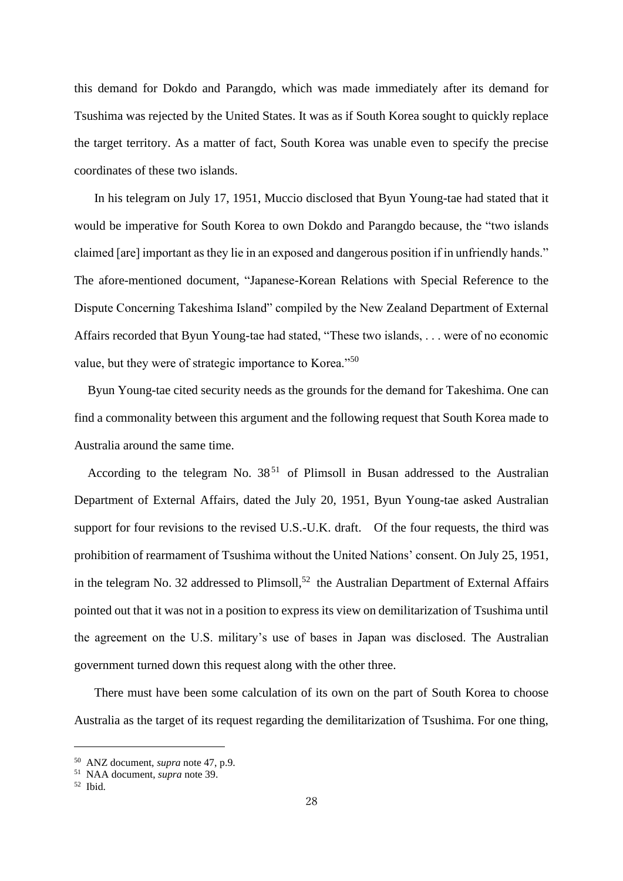this demand for Dokdo and Parangdo, which was made immediately after its demand for Tsushima was rejected by the United States. It was as if South Korea sought to quickly replace the target territory. As a matter of fact, South Korea was unable even to specify the precise coordinates of these two islands.

In his telegram on July 17, 1951, Muccio disclosed that Byun Young-tae had stated that it would be imperative for South Korea to own Dokdo and Parangdo because, the "two islands claimed [are] important as they lie in an exposed and dangerous position if in unfriendly hands." The afore-mentioned document, "Japanese-Korean Relations with Special Reference to the Dispute Concerning Takeshima Island" compiled by the New Zealand Department of External Affairs recorded that Byun Young-tae had stated, "These two islands, . . . were of no economic value, but they were of strategic importance to Korea."<sup>50</sup>

Byun Young-tae cited security needs as the grounds for the demand for Takeshima. One can find a commonality between this argument and the following request that South Korea made to Australia around the same time.

According to the telegram No.  $38<sup>51</sup>$  of Plimsoll in Busan addressed to the Australian Department of External Affairs, dated the July 20, 1951, Byun Young-tae asked Australian support for four revisions to the revised U.S.-U.K. draft. Of the four requests, the third was prohibition of rearmament of Tsushima without the United Nations' consent. On July 25, 1951, in the telegram No. 32 addressed to Plimsoll,<sup>52</sup> the Australian Department of External Affairs pointed out that it was not in a position to express its view on demilitarization of Tsushima until the agreement on the U.S. military's use of bases in Japan was disclosed. The Australian government turned down this request along with the other three.

There must have been some calculation of its own on the part of South Korea to choose Australia as the target of its request regarding the demilitarization of Tsushima. For one thing,

<sup>50</sup> ANZ document, *supra* note 47, p.9.

<sup>51</sup> NAA document, *supra* note 39.

<sup>52</sup> Ibid.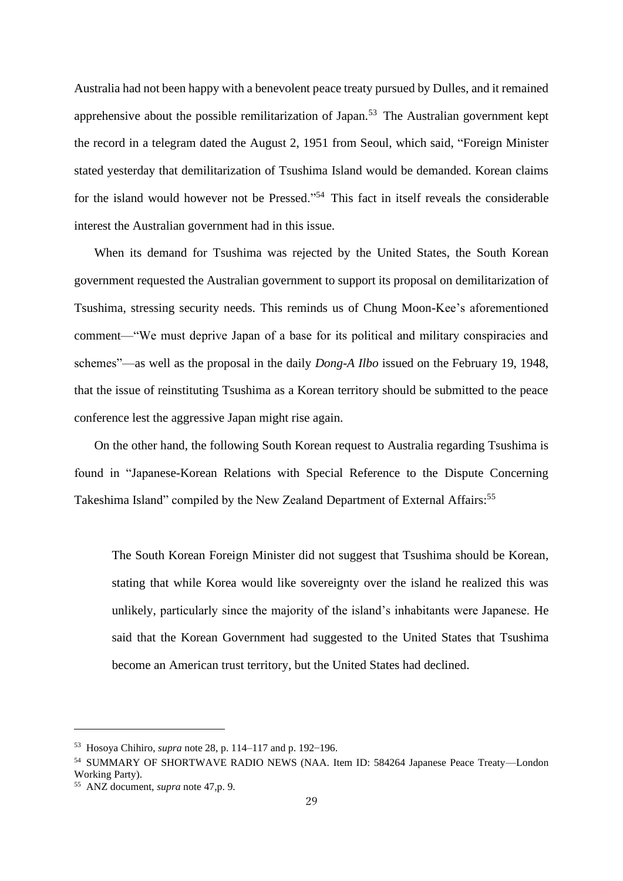Australia had not been happy with a benevolent peace treaty pursued by Dulles, and it remained apprehensive about the possible remilitarization of Japan.<sup>53</sup> The Australian government kept the record in a telegram dated the August 2, 1951 from Seoul, which said, "Foreign Minister stated yesterday that demilitarization of Tsushima Island would be demanded. Korean claims for the island would however not be Pressed."<sup>54</sup> This fact in itself reveals the considerable interest the Australian government had in this issue.

When its demand for Tsushima was rejected by the United States, the South Korean government requested the Australian government to support its proposal on demilitarization of Tsushima, stressing security needs. This reminds us of Chung Moon-Kee's aforementioned comment—"We must deprive Japan of a base for its political and military conspiracies and schemes"—as well as the proposal in the daily *Dong-A Ilbo* issued on the February 19, 1948, that the issue of reinstituting Tsushima as a Korean territory should be submitted to the peace conference lest the aggressive Japan might rise again.

On the other hand, the following South Korean request to Australia regarding Tsushima is found in "Japanese-Korean Relations with Special Reference to the Dispute Concerning Takeshima Island" compiled by the New Zealand Department of External Affairs:<sup>55</sup>

The South Korean Foreign Minister did not suggest that Tsushima should be Korean, stating that while Korea would like sovereignty over the island he realized this was unlikely, particularly since the majority of the island's inhabitants were Japanese. He said that the Korean Government had suggested to the United States that Tsushima become an American trust territory, but the United States had declined.

<sup>53</sup> Hosoya Chihiro, *supra* note 28, p. 114–117 and p. 192–196.

<sup>54</sup> SUMMARY OF SHORTWAVE RADIO NEWS (NAA. Item ID: 584264 Japanese Peace Treaty—London Working Party).

<sup>55</sup> ANZ document, *supra* note 47,p. 9.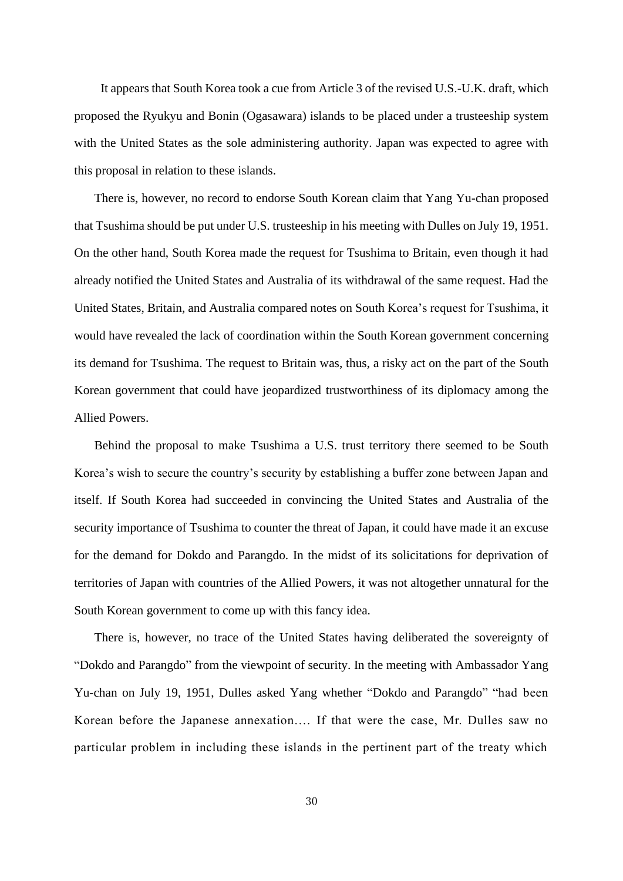It appears that South Korea took a cue from Article 3 of the revised U.S.-U.K. draft, which proposed the Ryukyu and Bonin (Ogasawara) islands to be placed under a trusteeship system with the United States as the sole administering authority. Japan was expected to agree with this proposal in relation to these islands.

There is, however, no record to endorse South Korean claim that Yang Yu-chan proposed that Tsushima should be put under U.S. trusteeship in his meeting with Dulles on July 19, 1951. On the other hand, South Korea made the request for Tsushima to Britain, even though it had already notified the United States and Australia of its withdrawal of the same request. Had the United States, Britain, and Australia compared notes on South Korea's request for Tsushima, it would have revealed the lack of coordination within the South Korean government concerning its demand for Tsushima. The request to Britain was, thus, a risky act on the part of the South Korean government that could have jeopardized trustworthiness of its diplomacy among the Allied Powers.

Behind the proposal to make Tsushima a U.S. trust territory there seemed to be South Korea's wish to secure the country's security by establishing a buffer zone between Japan and itself. If South Korea had succeeded in convincing the United States and Australia of the security importance of Tsushima to counter the threat of Japan, it could have made it an excuse for the demand for Dokdo and Parangdo. In the midst of its solicitations for deprivation of territories of Japan with countries of the Allied Powers, it was not altogether unnatural for the South Korean government to come up with this fancy idea.

There is, however, no trace of the United States having deliberated the sovereignty of "Dokdo and Parangdo" from the viewpoint of security. In the meeting with Ambassador Yang Yu-chan on July 19, 1951, Dulles asked Yang whether "Dokdo and Parangdo" "had been Korean before the Japanese annexation.… If that were the case, Mr. Dulles saw no particular problem in including these islands in the pertinent part of the treaty which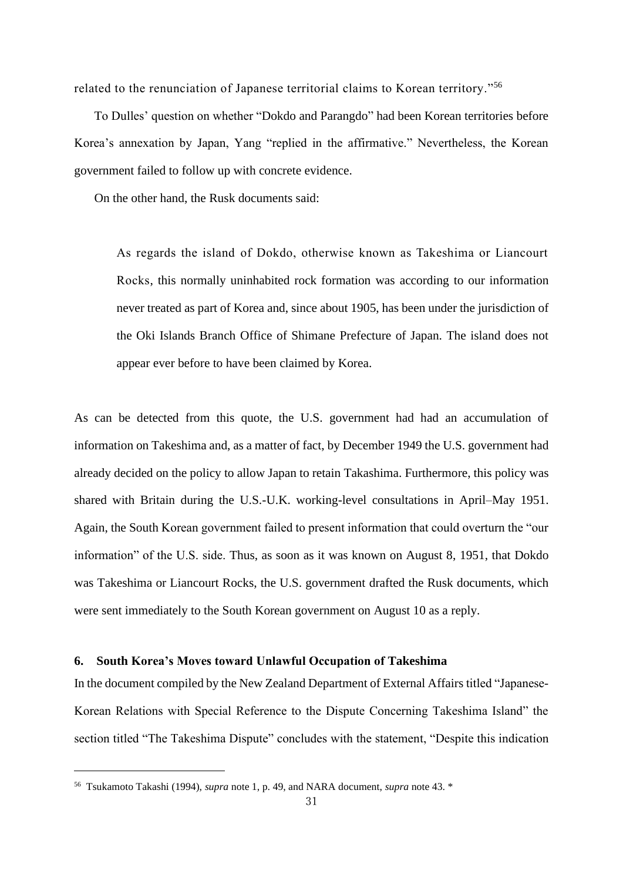related to the renunciation of Japanese territorial claims to Korean territory."<sup>56</sup>

To Dulles' question on whether "Dokdo and Parangdo" had been Korean territories before Korea's annexation by Japan, Yang "replied in the affirmative." Nevertheless, the Korean government failed to follow up with concrete evidence.

On the other hand, the Rusk documents said:

As regards the island of Dokdo, otherwise known as Takeshima or Liancourt Rocks, this normally uninhabited rock formation was according to our information never treated as part of Korea and, since about 1905, has been under the jurisdiction of the Oki Islands Branch Office of Shimane Prefecture of Japan. The island does not appear ever before to have been claimed by Korea.

As can be detected from this quote, the U.S. government had had an accumulation of information on Takeshima and, as a matter of fact, by December 1949 the U.S. government had already decided on the policy to allow Japan to retain Takashima. Furthermore, this policy was shared with Britain during the U.S.-U.K. working-level consultations in April–May 1951. Again, the South Korean government failed to present information that could overturn the "our information" of the U.S. side. Thus, as soon as it was known on August 8, 1951, that Dokdo was Takeshima or Liancourt Rocks, the U.S. government drafted the Rusk documents, which were sent immediately to the South Korean government on August 10 as a reply.

### **6. South Korea's Moves toward Unlawful Occupation of Takeshima**

In the document compiled by the New Zealand Department of External Affairs titled "Japanese-Korean Relations with Special Reference to the Dispute Concerning Takeshima Island" the section titled "The Takeshima Dispute" concludes with the statement, "Despite this indication

<sup>56</sup> Tsukamoto Takashi (1994), *supra* note 1, p. 49, and NARA document, *supra* note 43. \*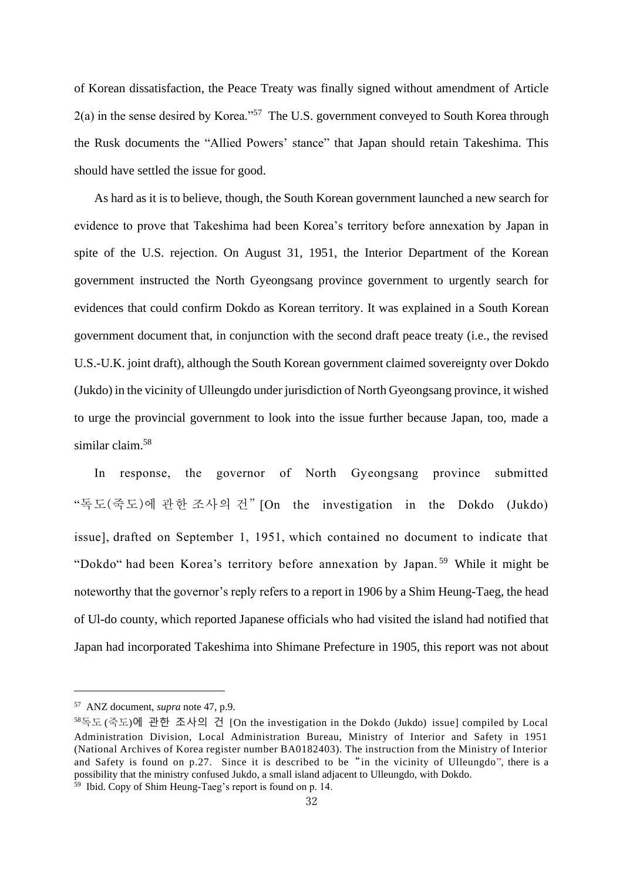of Korean dissatisfaction, the Peace Treaty was finally signed without amendment of Article 2(a) in the sense desired by Korea."<sup>57</sup> The U.S. government conveyed to South Korea through the Rusk documents the "Allied Powers' stance" that Japan should retain Takeshima. This should have settled the issue for good.

As hard as it is to believe, though, the South Korean government launched a new search for evidence to prove that Takeshima had been Korea's territory before annexation by Japan in spite of the U.S. rejection. On August 31, 1951, the Interior Department of the Korean government instructed the North Gyeongsang province government to urgently search for evidences that could confirm Dokdo as Korean territory. It was explained in a South Korean government document that, in conjunction with the second draft peace treaty (i.e., the revised U.S.-U.K. joint draft), although the South Korean government claimed sovereignty over Dokdo (Jukdo) in the vicinity of Ulleungdo under jurisdiction of North Gyeongsang province, it wished to urge the provincial government to look into the issue further because Japan, too, made a similar claim.<sup>58</sup>

In response, the governor of North Gyeongsang province submitted "독도(죽도)에 관한 조사의 건" [On the investigation in the Dokdo (Jukdo) issue], drafted on September 1, 1951, which contained no document to indicate that "Dokdo" had been Korea's territory before annexation by Japan. <sup>59</sup> While it might be noteworthy that the governor's reply refers to a report in 1906 by a Shim Heung-Taeg, the head of Ul-do county, which reported Japanese officials who had visited the island had notified that Japan had incorporated Takeshima into Shimane Prefecture in 1905, this report was not about

<sup>57</sup> ANZ document, *supra* note 47, p.9.

<sup>58</sup>독도 (죽도)에 관한 조사의 건 [On the investigation in the Dokdo (Jukdo) issue] compiled by Local Administration Division, Local Administration Bureau, Ministry of Interior and Safety in 1951 (National Archives of Korea register number BA0182403). The instruction from the Ministry of Interior and Safety is found on p.27. Since it is described to be "in the vicinity of Ulleungdo", there is a possibility that the ministry confused Jukdo, a small island adjacent to Ulleungdo, with Dokdo.  $\frac{59}{2}$  Ibid. Copy of Shim Heung-Taeg's report is found on p. 14.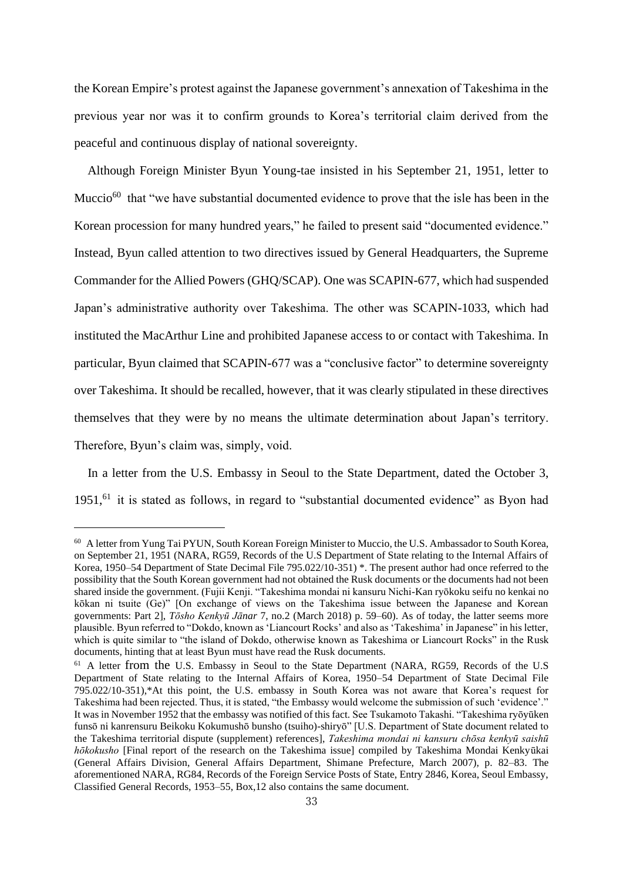the Korean Empire's protest against the Japanese government's annexation of Takeshima in the previous year nor was it to confirm grounds to Korea's territorial claim derived from the peaceful and continuous display of national sovereignty.

Although Foreign Minister Byun Young-tae insisted in his September 21, 1951, letter to Muccio $^{60}$  that "we have substantial documented evidence to prove that the isle has been in the Korean procession for many hundred years," he failed to present said "documented evidence." Instead, Byun called attention to two directives issued by General Headquarters, the Supreme Commander for the Allied Powers (GHQ/SCAP). One was SCAPIN-677, which had suspended Japan's administrative authority over Takeshima. The other was SCAPIN-1033, which had instituted the MacArthur Line and prohibited Japanese access to or contact with Takeshima. In particular, Byun claimed that SCAPIN-677 was a "conclusive factor" to determine sovereignty over Takeshima. It should be recalled, however, that it was clearly stipulated in these directives themselves that they were by no means the ultimate determination about Japan's territory. Therefore, Byun's claim was, simply, void.

In a letter from the U.S. Embassy in Seoul to the State Department, dated the October 3, 1951,<sup>61</sup> it is stated as follows, in regard to "substantial documented evidence" as Byon had

<sup>60</sup> A letter from Yung Tai PYUN, South Korean Foreign Minister to Muccio, the U.S. Ambassador to South Korea, on September 21, 1951 (NARA, RG59, Records of the U.S Department of State relating to the Internal Affairs of Korea, 1950–54 Department of State Decimal File 795.022/10-351) \*. The present author had once referred to the possibility that the South Korean government had not obtained the Rusk documents or the documents had not been shared inside the government. (Fujii Kenji. "Takeshima mondai ni kansuru Nichi-Kan ryōkoku seifu no kenkai no kōkan ni tsuite (Ge)" [On exchange of views on the Takeshima issue between the Japanese and Korean governments: Part 2], *Tōsho Kenkyū Jānar* 7, no.2 (March 2018) p. 59–60). As of today, the latter seems more plausible. Byun referred to "Dokdo, known as 'Liancourt Rocks' and also as 'Takeshima' in Japanese" in his letter, which is quite similar to "the island of Dokdo, otherwise known as Takeshima or Liancourt Rocks" in the Rusk documents, hinting that at least Byun must have read the Rusk documents.

<sup>&</sup>lt;sup>61</sup> A letter from the U.S. Embassy in Seoul to the State Department (NARA, RG59, Records of the U.S Department of State relating to the Internal Affairs of Korea, 1950–54 Department of State Decimal File 795.022/10-351),\*At this point, the U.S. embassy in South Korea was not aware that Korea's request for Takeshima had been rejected. Thus, it is stated, "the Embassy would welcome the submission of such 'evidence'." It was in November 1952 that the embassy was notified of this fact. See Tsukamoto Takashi. "Takeshima ryōyūken funsō ni kanrensuru Beikoku Kokumushō bunsho (tsuiho)-shiryō" [U.S. Department of State document related to the Takeshima territorial dispute (supplement) references], *Takeshima mondai ni kansuru chōsa kenkyū saishū hōkokusho* [Final report of the research on the Takeshima issue] compiled by Takeshima Mondai Kenkyūkai (General Affairs Division, General Affairs Department, Shimane Prefecture, March 2007), p. 82–83. The aforementioned NARA, RG84, Records of the Foreign Service Posts of State, Entry 2846, Korea, Seoul Embassy, Classified General Records, 1953–55, Box,12 also contains the same document.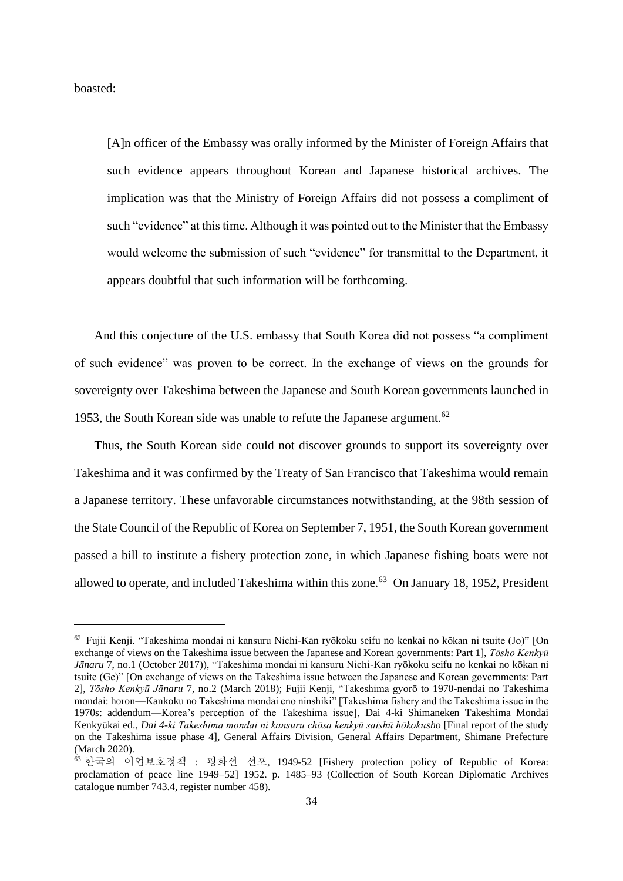boasted:

[A]n officer of the Embassy was orally informed by the Minister of Foreign Affairs that such evidence appears throughout Korean and Japanese historical archives. The implication was that the Ministry of Foreign Affairs did not possess a compliment of such "evidence" at this time. Although it was pointed out to the Minister that the Embassy would welcome the submission of such "evidence" for transmittal to the Department, it appears doubtful that such information will be forthcoming.

And this conjecture of the U.S. embassy that South Korea did not possess "a compliment of such evidence" was proven to be correct. In the exchange of views on the grounds for sovereignty over Takeshima between the Japanese and South Korean governments launched in 1953, the South Korean side was unable to refute the Japanese argument.<sup>62</sup>

Thus, the South Korean side could not discover grounds to support its sovereignty over Takeshima and it was confirmed by the Treaty of San Francisco that Takeshima would remain a Japanese territory. These unfavorable circumstances notwithstanding, at the 98th session of the State Council of the Republic of Korea on September 7, 1951, the South Korean government passed a bill to institute a fishery protection zone, in which Japanese fishing boats were not allowed to operate, and included Takeshima within this zone.<sup>63</sup> On January 18, 1952, President

<sup>62</sup> Fujii Kenji. "Takeshima mondai ni kansuru Nichi-Kan ryōkoku seifu no kenkai no kōkan ni tsuite (Jo)" [On exchange of views on the Takeshima issue between the Japanese and Korean governments: Part 1], *Tōsho Kenkyū Jānaru* 7, no.1 (October 2017)), "Takeshima mondai ni kansuru Nichi-Kan ryōkoku seifu no kenkai no kōkan ni tsuite (Ge)" [On exchange of views on the Takeshima issue between the Japanese and Korean governments: Part 2], *Tōsho Kenkyū Jānaru* 7, no.2 (March 2018); Fujii Kenji, "Takeshima gyorō to 1970-nendai no Takeshima mondai: horon—Kankoku no Takeshima mondai eno ninshiki" [Takeshima fishery and the Takeshima issue in the 1970s: addendum—Korea's perception of the Takeshima issue], Dai 4-ki Shimaneken Takeshima Mondai Kenkyūkai ed., *Dai 4-ki Takeshima mondai ni kansuru chōsa kenkyū saishū hōkokusho* [Final report of the study on the Takeshima issue phase 4], General Affairs Division, General Affairs Department, Shimane Prefecture (March 2020).

<sup>63</sup> 한국의 어업보호정책 : 평화선 선포, 1949-52 [Fishery protection policy of Republic of Korea: proclamation of peace line 1949–52] 1952. p. 1485–93 (Collection of South Korean Diplomatic Archives catalogue number 743.4, register number 458).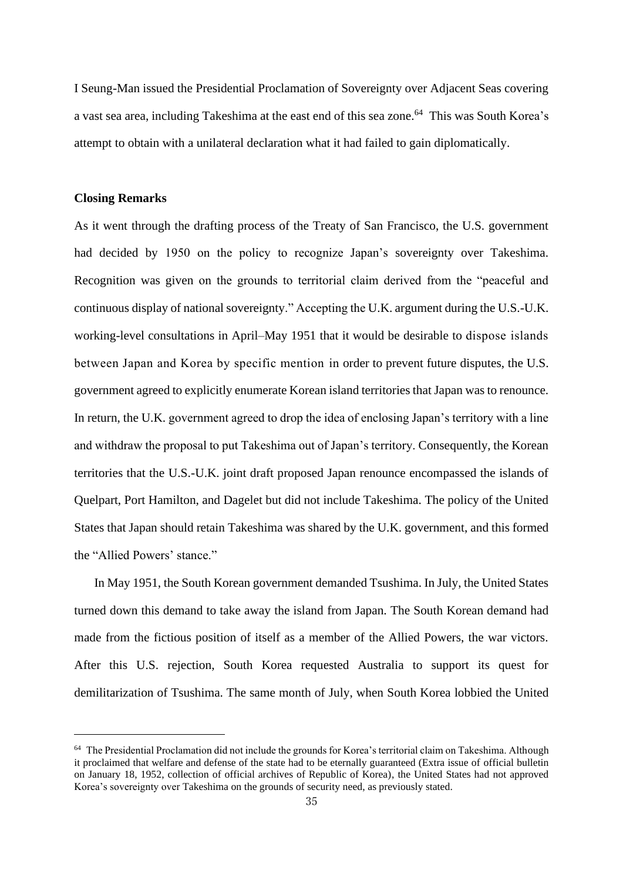I Seung-Man issued the Presidential Proclamation of Sovereignty over Adjacent Seas covering a vast sea area, including Takeshima at the east end of this sea zone.<sup>64</sup> This was South Korea's attempt to obtain with a unilateral declaration what it had failed to gain diplomatically.

### **Closing Remarks**

As it went through the drafting process of the Treaty of San Francisco, the U.S. government had decided by 1950 on the policy to recognize Japan's sovereignty over Takeshima. Recognition was given on the grounds to territorial claim derived from the "peaceful and continuous display of national sovereignty." Accepting the U.K. argument during the U.S.-U.K. working-level consultations in April–May 1951 that it would be desirable to dispose islands between Japan and Korea by specific mention in order to prevent future disputes, the U.S. government agreed to explicitly enumerate Korean island territories that Japan was to renounce. In return, the U.K. government agreed to drop the idea of enclosing Japan's territory with a line and withdraw the proposal to put Takeshima out of Japan's territory. Consequently, the Korean territories that the U.S.-U.K. joint draft proposed Japan renounce encompassed the islands of Quelpart, Port Hamilton, and Dagelet but did not include Takeshima. The policy of the United States that Japan should retain Takeshima was shared by the U.K. government, and this formed the "Allied Powers' stance."

In May 1951, the South Korean government demanded Tsushima. In July, the United States turned down this demand to take away the island from Japan. The South Korean demand had made from the fictious position of itself as a member of the Allied Powers, the war victors. After this U.S. rejection, South Korea requested Australia to support its quest for demilitarization of Tsushima. The same month of July, when South Korea lobbied the United

 $64$  The Presidential Proclamation did not include the grounds for Korea's territorial claim on Takeshima. Although it proclaimed that welfare and defense of the state had to be eternally guaranteed (Extra issue of official bulletin on January 18, 1952, collection of official archives of Republic of Korea), the United States had not approved Korea's sovereignty over Takeshima on the grounds of security need, as previously stated.